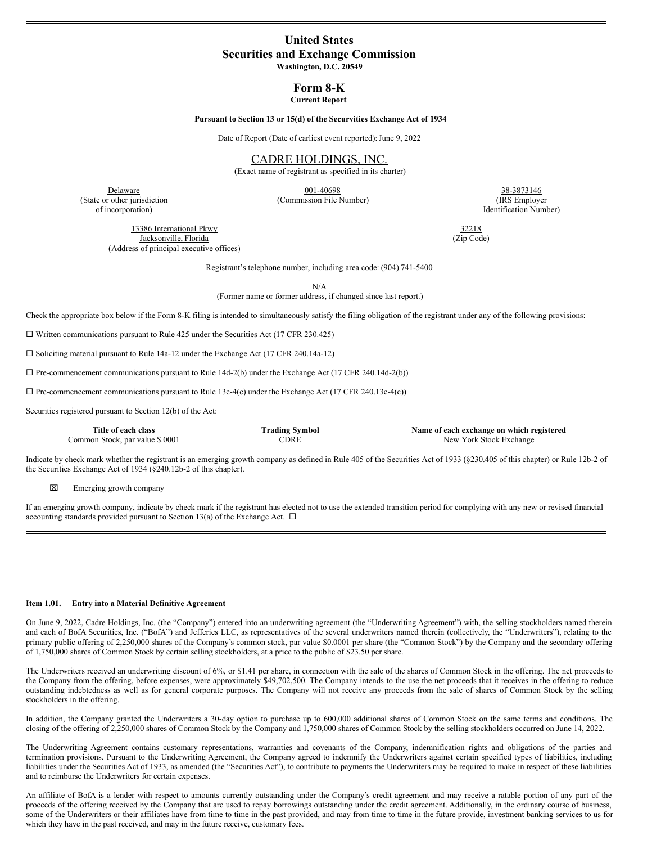# **United States Securities and Exchange Commission**

**Washington, D.C. 20549**

**Form 8-K Current Report**

**Pursuant to Section 13 or 15(d) of the Securvities Exchange Act of 1934**

Date of Report (Date of earliest event reported): June 9, 2022

CADRE HOLDINGS, INC.

(Exact name of registrant as specified in its charter)

of incorporation) Identification Number)

**Delaware** 38-3873146 (State or other jurisdiction (Commission File Number) (IRS Employer

13386 International Pkwy 32218<br>
Jacksonville, Florida (Zip Code) Jacksonville, Florida (Address of principal executive offices)

Registrant's telephone number, including area code: (904) 741-5400

N/A

(Former name or former address, if changed since last report.)

Check the appropriate box below if the Form 8-K filing is intended to simultaneously satisfy the filing obligation of the registrant under any of the following provisions:

 $\square$  Written communications pursuant to Rule 425 under the Securities Act (17 CFR 230.425)

 $\square$  Soliciting material pursuant to Rule 14a-12 under the Exchange Act (17 CFR 240.14a-12)

 $\square$  Pre-commencement communications pursuant to Rule 14d-2(b) under the Exchange Act (17 CFR 240.14d-2(b))

 $\Box$  Pre-commencement communications pursuant to Rule 13e-4(c) under the Exchange Act (17 CFR 240.13e-4(c))

Securities registered pursuant to Section 12(b) of the Act:

| Title of each class             | <b>Trading Symbol</b> | Name of each exchange on which registered |
|---------------------------------|-----------------------|-------------------------------------------|
| Common Stock, par value \$.0001 | CDRE                  | New York Stock Exchange                   |

Indicate by check mark whether the registrant is an emerging growth company as defined in Rule 405 of the Securities Act of 1933 (§230.405 of this chapter) or Rule 12b-2 of the Securities Exchange Act of 1934 (§240.12b-2 of this chapter).

x Emerging growth company

If an emerging growth company, indicate by check mark if the registrant has elected not to use the extended transition period for complying with any new or revised financial accounting standards provided pursuant to Section 13(a) of the Exchange Act.  $\Box$ 

#### **Item 1.01. Entry into a Material Definitive Agreement**

On June 9, 2022, Cadre Holdings, Inc. (the "Company") entered into an underwriting agreement (the "Underwriting Agreement") with, the selling stockholders named therein and each of BofA Securities, Inc. ("BofA") and Jefferies LLC, as representatives of the several underwriters named therein (collectively, the "Underwriters"), relating to the primary public offering of 2,250,000 shares of the Company's common stock, par value \$0.0001 per share (the "Common Stock") by the Company and the secondary offering of 1,750,000 shares of Common Stock by certain selling stockholders, at a price to the public of \$23.50 per share.

The Underwriters received an underwriting discount of 6%, or \$1.41 per share, in connection with the sale of the shares of Common Stock in the offering. The net proceeds to the Company from the offering, before expenses, were approximately \$49,702,500. The Company intends to the use the net proceeds that it receives in the offering to reduce outstanding indebtedness as well as for general corporate purposes. The Company will not receive any proceeds from the sale of shares of Common Stock by the selling stockholders in the offering.

In addition, the Company granted the Underwriters a 30-day option to purchase up to 600,000 additional shares of Common Stock on the same terms and conditions. The closing of the offering of 2,250,000 shares of Common Stock by the Company and 1,750,000 shares of Common Stock by the selling stockholders occurred on June 14, 2022.

The Underwriting Agreement contains customary representations, warranties and covenants of the Company, indemnification rights and obligations of the parties and termination provisions. Pursuant to the Underwriting Agreement, the Company agreed to indemnify the Underwriters against certain specified types of liabilities, including liabilities under the Securities Act of 1933, as amended (the "Securities Act"), to contribute to payments the Underwriters may be required to make in respect of these liabilities and to reimburse the Underwriters for certain expenses.

An affiliate of BofA is a lender with respect to amounts currently outstanding under the Company's credit agreement and may receive a ratable portion of any part of the proceeds of the offering received by the Company that are used to repay borrowings outstanding under the credit agreement. Additionally, in the ordinary course of business, some of the Underwriters or their affiliates have from time to time in the past provided, and may from time to time in the future provide, investment banking services to us for which they have in the past received, and may in the future receive, customary fees.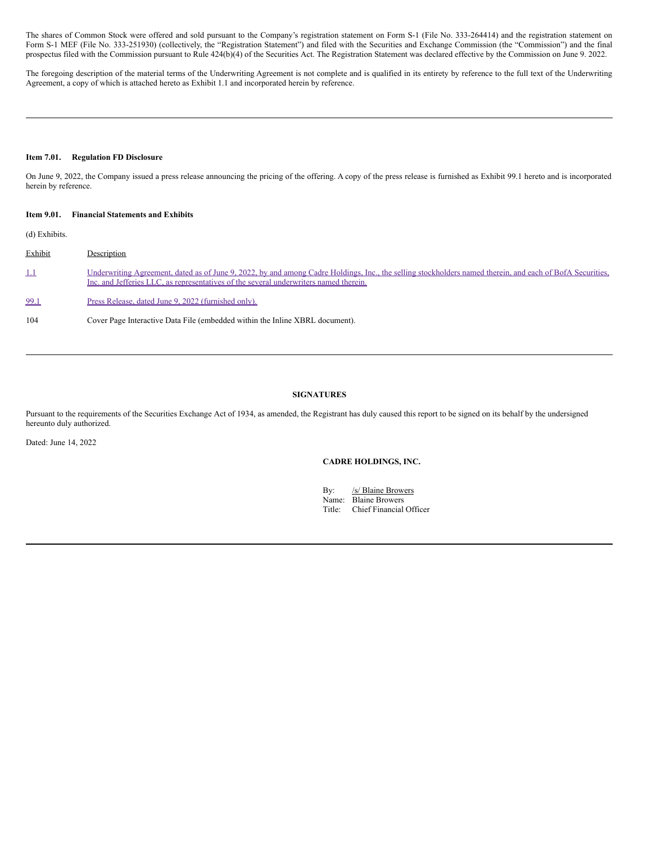The shares of Common Stock were offered and sold pursuant to the Company's registration statement on Form S-1 (File No. 333-264414) and the registration statement on Form S-1 MEF (File No. 333-251930) (collectively, the "Registration Statement") and filed with the Securities and Exchange Commission (the "Commission") and the final prospectus filed with the Commission pursuant to Rule 424(b)(4) of the Securities Act. The Registration Statement was declared effective by the Commission on June 9. 2022.

The foregoing description of the material terms of the Underwriting Agreement is not complete and is qualified in its entirety by reference to the full text of the Underwriting Agreement, a copy of which is attached hereto as Exhibit 1.1 and incorporated herein by reference.

# **Item 7.01. Regulation FD Disclosure**

On June 9, 2022, the Company issued a press release announcing the pricing of the offering. A copy of the press release is furnished as Exhibit 99.1 hereto and is incorporated herein by reference.

#### **Item 9.01. Financial Statements and Exhibits**

(d) Exhibits.

| Exhibit    | Description                                                                                                                                                                                                                                        |
|------------|----------------------------------------------------------------------------------------------------------------------------------------------------------------------------------------------------------------------------------------------------|
| <u>1.1</u> | Underwriting Agreement, dated as of June 9, 2022, by and among Cadre Holdings, Inc., the selling stockholders named therein, and each of BofA Securities,<br>Inc. and Jefferies LLC, as representatives of the several underwriters named therein. |
| 99.1       | Press Release, dated June 9, 2022 (furnished only).                                                                                                                                                                                                |
| 104        | Cover Page Interactive Data File (embedded within the Inline XBRL document).                                                                                                                                                                       |

# **SIGNATURES**

Pursuant to the requirements of the Securities Exchange Act of 1934, as amended, the Registrant has duly caused this report to be signed on its behalf by the undersigned hereunto duly authorized.

Dated: June 14, 2022

# **CADRE HOLDINGS, INC.**

By: /s/ Blaine Browers Name: Blaine Browers<br>Title: Chief Financial Chief Financial Officer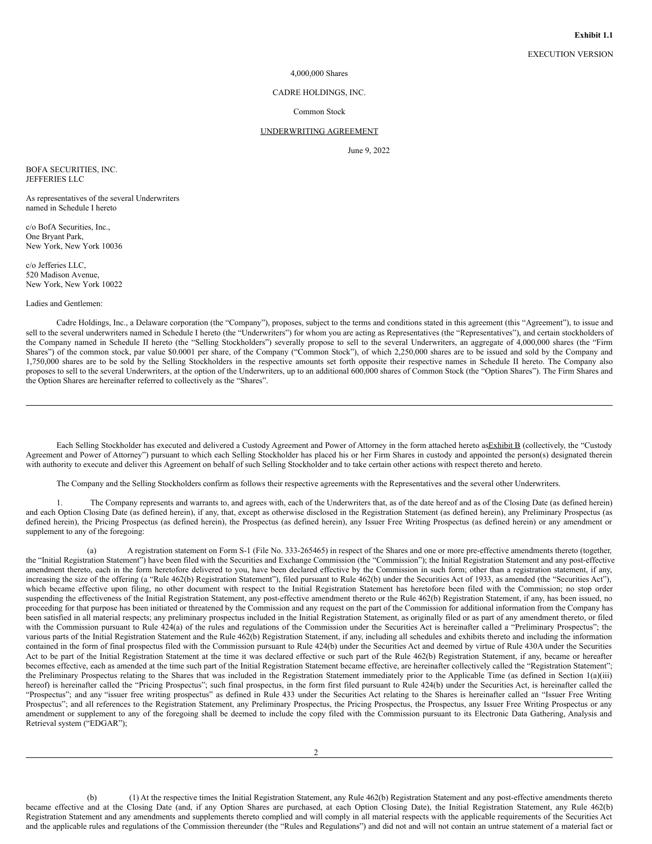EXECUTION VERSION

## 4,000,000 Shares

#### CADRE HOLDINGS, INC.

## Common Stock

#### UNDERWRITING AGREEMENT

June 9, 2022

BOFA SECURITIES, INC. JEFFERIES LLC

As representatives of the several Underwriters named in Schedule I hereto

c/o BofA Securities, Inc., One Bryant Park, New York, New York 10036

c/o Jefferies LLC, 520 Madison Avenue, New York, New York 10022

Ladies and Gentlemen:

Cadre Holdings, Inc., a Delaware corporation (the "Company"), proposes, subject to the terms and conditions stated in this agreement (this "Agreement"), to issue and sell to the several underwriters named in Schedule I hereto (the "Underwriters") for whom you are acting as Representatives (the "Representatives"), and certain stockholders of the Company named in Schedule II hereto (the "Selling Stockholders") severally propose to sell to the several Underwriters, an aggregate of 4,000,000 shares (the "Firm Shares") of the common stock, par value \$0.0001 per share, of the Company ("Common Stock"), of which 2,250,000 shares are to be issued and sold by the Company and 1,750,000 shares are to be sold by the Selling Stockholders in the respective amounts set forth opposite their respective names in Schedule II hereto. The Company also proposes to sell to the several Underwriters, at the option of the Underwriters, up to an additional 600,000 shares of Common Stock (the "Option Shares"). The Firm Shares and the Option Shares are hereinafter referred to collectively as the "Shares".

Each Selling Stockholder has executed and delivered a Custody Agreement and Power of Attorney in the form attached hereto asExhibit B (collectively, the "Custody Agreement and Power of Attorney") pursuant to which each Selling Stockholder has placed his or her Firm Shares in custody and appointed the person(s) designated therein with authority to execute and deliver this Agreement on behalf of such Selling Stockholder and to take certain other actions with respect thereto and hereto.

The Company and the Selling Stockholders confirm as follows their respective agreements with the Representatives and the several other Underwriters.

1. The Company represents and warrants to, and agrees with, each of the Underwriters that, as of the date hereof and as of the Closing Date (as defined herein) and each Option Closing Date (as defined herein), if any, that, except as otherwise disclosed in the Registration Statement (as defined herein), any Preliminary Prospectus (as defined herein), the Pricing Prospectus (as defined herein), the Prospectus (as defined herein), any Issuer Free Writing Prospectus (as defined herein) or any amendment or supplement to any of the foregoing:

(a) A registration statement on Form S-1 (File No. 333-265465) in respect of the Shares and one or more pre-effective amendments thereto (together, the "Initial Registration Statement") have been filed with the Securities and Exchange Commission (the "Commission"); the Initial Registration Statement and any post-effective amendment thereto, each in the form heretofore delivered to you, have been declared effective by the Commission in such form; other than a registration statement, if any, increasing the size of the offering (a "Rule 462(b) Registration Statement"), filed pursuant to Rule 462(b) under the Securities Act of 1933, as amended (the "Securities Act"), which became effective upon filing, no other document with respect to the Initial Registration Statement has heretofore been filed with the Commission; no stop order suspending the effectiveness of the Initial Registration Statement, any post-effective amendment thereto or the Rule 462(b) Registration Statement, if any, has been issued, no proceeding for that purpose has been initiated or threatened by the Commission and any request on the part of the Commission for additional information from the Company has been satisfied in all material respects; any preliminary prospectus included in the Initial Registration Statement, as originally filed or as part of any amendment thereto, or filed with the Commission pursuant to Rule 424(a) of the rules and regulations of the Commission under the Securities Act is hereinafter called a "Preliminary Prospectus"; the various parts of the Initial Registration Statement and the Rule 462(b) Registration Statement, if any, including all schedules and exhibits thereto and including the information contained in the form of final prospectus filed with the Commission pursuant to Rule 424(b) under the Securities Act and deemed by virtue of Rule 430A under the Securities Act to be part of the Initial Registration Statement at the time it was declared effective or such part of the Rule 462(b) Registration Statement, if any, became or hereafter becomes effective, each as amended at the time such part of the Initial Registration Statement became effective, are hereinafter collectively called the "Registration Statement"; the Preliminary Prospectus relating to the Shares that was included in the Registration Statement immediately prior to the Applicable Time (as defined in Section 1(a)(iii) hereof) is hereinafter called the "Pricing Prospectus"; such final prospectus, in the form first filed pursuant to Rule 424(b) under the Securities Act, is hereinafter called the "Prospectus"; and any "issuer free writing prospectus" as defined in Rule 433 under the Securities Act relating to the Shares is hereinafter called an "Issuer Free Writing Prospectus"; and all references to the Registration Statement, any Preliminary Prospectus, the Pricing Prospectus, the Prospectus, any Issuer Free Writing Prospectus or any amendment or supplement to any of the foregoing shall be deemed to include the copy filed with the Commission pursuant to its Electronic Data Gathering, Analysis and Retrieval system ("EDGAR");

(b) (1) At the respective times the Initial Registration Statement, any Rule 462(b) Registration Statement and any post-effective amendments thereto became effective and at the Closing Date (and, if any Option Shares are purchased, at each Option Closing Date), the Initial Registration Statement, any Rule 462(b) Registration Statement and any amendments and supplements thereto complied and will comply in all material respects with the applicable requirements of the Securities Act and the applicable rules and regulations of the Commission thereunder (the "Rules and Regulations") and did not and will not contain an untrue statement of a material fact or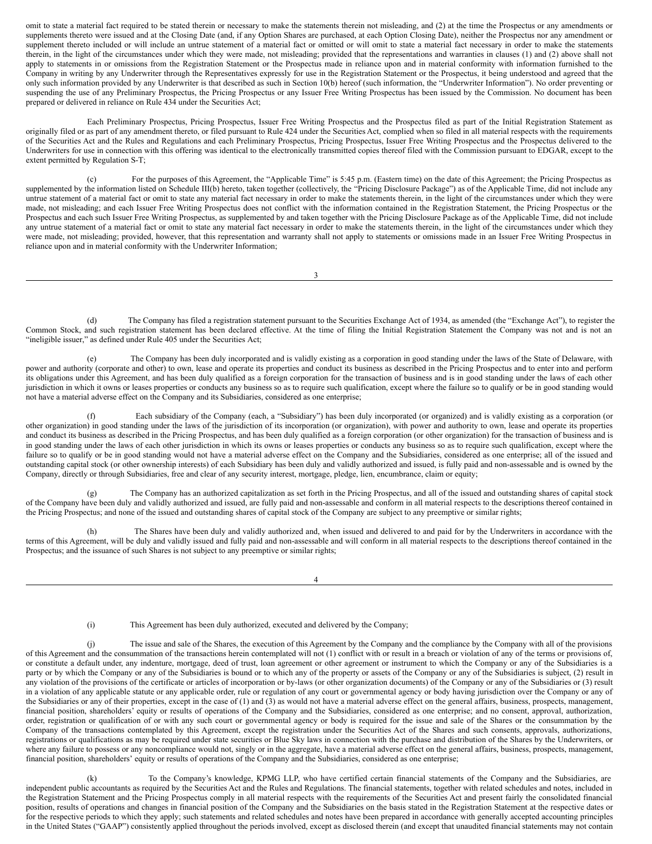omit to state a material fact required to be stated therein or necessary to make the statements therein not misleading, and (2) at the time the Prospectus or any amendments or supplements thereto were issued and at the Closing Date (and, if any Option Shares are purchased, at each Option Closing Date), neither the Prospectus nor any amendment or supplement thereto included or will include an untrue statement of a material fact or omitted or will omit to state a material fact necessary in order to make the statements therein, in the light of the circumstances under which they were made, not misleading; provided that the representations and warranties in clauses (1) and (2) above shall not apply to statements in or omissions from the Registration Statement or the Prospectus made in reliance upon and in material conformity with information furnished to the Company in writing by any Underwriter through the Representatives expressly for use in the Registration Statement or the Prospectus, it being understood and agreed that the only such information provided by any Underwriter is that described as such in Section 10(b) hereof (such information, the "Underwriter Information"). No order preventing or suspending the use of any Preliminary Prospectus, the Pricing Prospectus or any Issuer Free Writing Prospectus has been issued by the Commission. No document has been prepared or delivered in reliance on Rule 434 under the Securities Act;

Each Preliminary Prospectus, Pricing Prospectus, Issuer Free Writing Prospectus and the Prospectus filed as part of the Initial Registration Statement as originally filed or as part of any amendment thereto, or filed pursuant to Rule 424 under the Securities Act, complied when so filed in all material respects with the requirements of the Securities Act and the Rules and Regulations and each Preliminary Prospectus, Pricing Prospectus, Issuer Free Writing Prospectus and the Prospectus delivered to the Underwriters for use in connection with this offering was identical to the electronically transmitted copies thereof filed with the Commission pursuant to EDGAR, except to the extent permitted by Regulation S-T;

(c) For the purposes of this Agreement, the "Applicable Time" is 5:45 p.m. (Eastern time) on the date of this Agreement; the Pricing Prospectus as supplemented by the information listed on Schedule III(b) hereto, taken together (collectively, the "Pricing Disclosure Package") as of the Applicable Time, did not include any untrue statement of a material fact or omit to state any material fact necessary in order to make the statements therein, in the light of the circumstances under which they were made, not misleading; and each Issuer Free Writing Prospectus does not conflict with the information contained in the Registration Statement, the Pricing Prospectus or the Prospectus and each such Issuer Free Writing Prospectus, as supplemented by and taken together with the Pricing Disclosure Package as of the Applicable Time, did not include any untrue statement of a material fact or omit to state any material fact necessary in order to make the statements therein, in the light of the circumstances under which they were made, not misleading; provided, however, that this representation and warranty shall not apply to statements or omissions made in an Issuer Free Writing Prospectus in reliance upon and in material conformity with the Underwriter Information;

3

The Company has filed a registration statement pursuant to the Securities Exchange Act of 1934, as amended (the "Exchange Act"), to register the Common Stock, and such registration statement has been declared effective. At the time of filing the Initial Registration Statement the Company was not and is not an "ineligible issuer," as defined under Rule 405 under the Securities Act;

The Company has been duly incorporated and is validly existing as a corporation in good standing under the laws of the State of Delaware, with power and authority (corporate and other) to own, lease and operate its properties and conduct its business as described in the Pricing Prospectus and to enter into and perform its obligations under this Agreement, and has been duly qualified as a foreign corporation for the transaction of business and is in good standing under the laws of each other jurisdiction in which it owns or leases properties or conducts any business so as to require such qualification, except where the failure so to qualify or be in good standing would not have a material adverse effect on the Company and its Subsidiaries, considered as one enterprise;

Each subsidiary of the Company (each, a "Subsidiary") has been duly incorporated (or organized) and is validly existing as a corporation (or other organization) in good standing under the laws of the jurisdiction of its incorporation (or organization), with power and authority to own, lease and operate its properties and conduct its business as described in the Pricing Prospectus, and has been duly qualified as a foreign corporation (or other organization) for the transaction of business and is in good standing under the laws of each other jurisdiction in which its owns or leases properties or conducts any business so as to require such qualification, except where the failure so to qualify or be in good standing would not have a material adverse effect on the Company and the Subsidiaries, considered as one enterprise; all of the issued and outstanding capital stock (or other ownership interests) of each Subsidiary has been duly and validly authorized and issued, is fully paid and non-assessable and is owned by the Company, directly or through Subsidiaries, free and clear of any security interest, mortgage, pledge, lien, encumbrance, claim or equity;

(g) The Company has an authorized capitalization as set forth in the Pricing Prospectus, and all of the issued and outstanding shares of capital stock of the Company have been duly and validly authorized and issued, are fully paid and non-assessable and conform in all material respects to the descriptions thereof contained in the Pricing Prospectus; and none of the issued and outstanding shares of capital stock of the Company are subject to any preemptive or similar rights;

The Shares have been duly and validly authorized and, when issued and delivered to and paid for by the Underwriters in accordance with the terms of this Agreement, will be duly and validly issued and fully paid and non-assessable and will conform in all material respects to the descriptions thereof contained in the Prospectus; and the issuance of such Shares is not subject to any preemptive or similar rights;

4

(i) This Agreement has been duly authorized, executed and delivered by the Company;

(j) The issue and sale of the Shares, the execution of this Agreement by the Company and the compliance by the Company with all of the provisions of this Agreement and the consummation of the transactions herein contemplated will not (1) conflict with or result in a breach or violation of any of the terms or provisions of, or constitute a default under, any indenture, mortgage, deed of trust, loan agreement or other agreement or instrument to which the Company or any of the Subsidiaries is a party or by which the Company or any of the Subsidiaries is bound or to which any of the property or assets of the Company or any of the Subsidiaries is subject, (2) result in any violation of the provisions of the certificate or articles of incorporation or by-laws (or other organization documents) of the Company or any of the Subsidiaries or (3) result in a violation of any applicable statute or any applicable order, rule or regulation of any court or governmental agency or body having jurisdiction over the Company or any of the Subsidiaries or any of their properties, except in the case of (1) and (3) as would not have a material adverse effect on the general affairs, business, prospects, management, financial position, shareholders' equity or results of operations of the Company and the Subsidiaries, considered as one enterprise; and no consent, approval, authorization, order, registration or qualification of or with any such court or governmental agency or body is required for the issue and sale of the Shares or the consummation by the Company of the transactions contemplated by this Agreement, except the registration under the Securities Act of the Shares and such consents, approvals, authorizations, registrations or qualifications as may be required under state securities or Blue Sky laws in connection with the purchase and distribution of the Shares by the Underwriters, or where any failure to possess or any noncompliance would not, singly or in the aggregate, have a material adverse effect on the general affairs, business, prospects, management, financial position, shareholders' equity or results of operations of the Company and the Subsidiaries, considered as one enterprise;

(k) To the Company's knowledge, KPMG LLP, who have certified certain financial statements of the Company and the Subsidiaries, are independent public accountants as required by the Securities Act and the Rules and Regulations. The financial statements, together with related schedules and notes, included in the Registration Statement and the Pricing Prospectus comply in all material respects with the requirements of the Securities Act and present fairly the consolidated financial position, results of operations and changes in financial position of the Company and the Subsidiaries on the basis stated in the Registration Statement at the respective dates or for the respective periods to which they apply; such statements and related schedules and notes have been prepared in accordance with generally accepted accounting principles in the United States ("GAAP") consistently applied throughout the periods involved, except as disclosed therein (and except that unaudited financial statements may not contain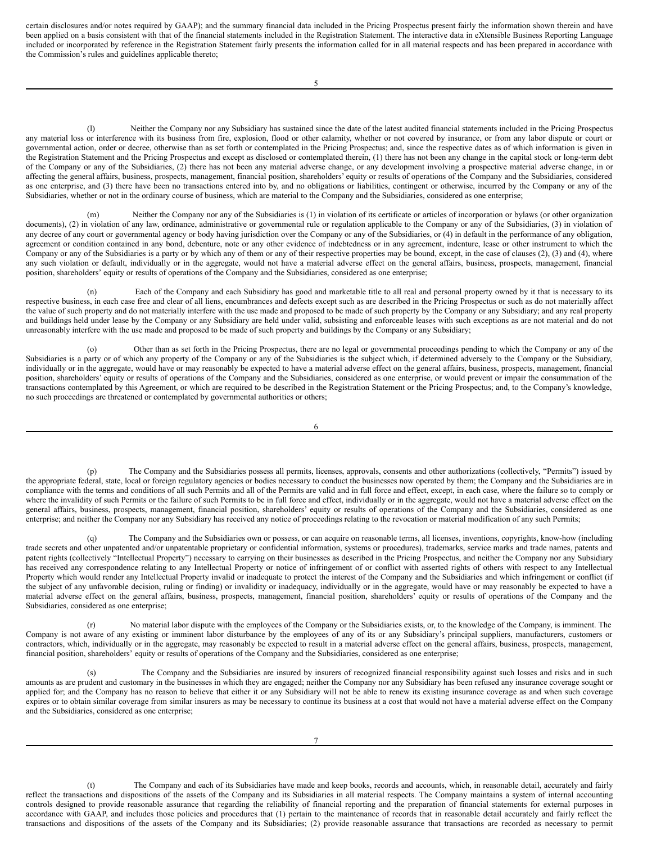certain disclosures and/or notes required by GAAP); and the summary financial data included in the Pricing Prospectus present fairly the information shown therein and have been applied on a basis consistent with that of the financial statements included in the Registration Statement. The interactive data in eXtensible Business Reporting Language included or incorporated by reference in the Registration Statement fairly presents the information called for in all material respects and has been prepared in accordance with the Commission's rules and guidelines applicable thereto;

5

Neither the Company nor any Subsidiary has sustained since the date of the latest audited financial statements included in the Pricing Prospectus any material loss or interference with its business from fire, explosion, flood or other calamity, whether or not covered by insurance, or from any labor dispute or court or governmental action, order or decree, otherwise than as set forth or contemplated in the Pricing Prospectus; and, since the respective dates as of which information is given in the Registration Statement and the Pricing Prospectus and except as disclosed or contemplated therein, (1) there has not been any change in the capital stock or long-term debt of the Company or any of the Subsidiaries, (2) there has not been any material adverse change, or any development involving a prospective material adverse change, in or affecting the general affairs, business, prospects, management, financial position, shareholders' equity or results of operations of the Company and the Subsidiaries, considered as one enterprise, and (3) there have been no transactions entered into by, and no obligations or liabilities, contingent or otherwise, incurred by the Company or any of the Subsidiaries, whether or not in the ordinary course of business, which are material to the Company and the Subsidiaries, considered as one enterprise;

(m) Neither the Company nor any of the Subsidiaries is (1) in violation of its certificate or articles of incorporation or bylaws (or other organization documents), (2) in violation of any law, ordinance, administrative or governmental rule or regulation applicable to the Company or any of the Subsidiaries, (3) in violation of any decree of any court or governmental agency or body having jurisdiction over the Company or any of the Subsidiaries, or (4) in default in the performance of any obligation, agreement or condition contained in any bond, debenture, note or any other evidence of indebtedness or in any agreement, indenture, lease or other instrument to which the Company or any of the Subsidiaries is a party or by which any of them or any of their respective properties may be bound, except, in the case of clauses (2), (3) and (4), where any such violation or default, individually or in the aggregate, would not have a material adverse effect on the general affairs, business, prospects, management, financial position, shareholders' equity or results of operations of the Company and the Subsidiaries, considered as one enterprise;

(n) Each of the Company and each Subsidiary has good and marketable title to all real and personal property owned by it that is necessary to its respective business, in each case free and clear of all liens, encumbrances and defects except such as are described in the Pricing Prospectus or such as do not materially affect the value of such property and do not materially interfere with the use made and proposed to be made of such property by the Company or any Subsidiary; and any real property and buildings held under lease by the Company or any Subsidiary are held under valid, subsisting and enforceable leases with such exceptions as are not material and do not unreasonably interfere with the use made and proposed to be made of such property and buildings by the Company or any Subsidiary;

(o) Other than as set forth in the Pricing Prospectus, there are no legal or governmental proceedings pending to which the Company or any of the Subsidiaries is a party or of which any property of the Company or any of the Subsidiaries is the subject which, if determined adversely to the Company or the Subsidiary, individually or in the aggregate, would have or may reasonably be expected to have a material adverse effect on the general affairs, business, prospects, management, financial position, shareholders' equity or results of operations of the Company and the Subsidiaries, considered as one enterprise, or would prevent or impair the consummation of the transactions contemplated by this Agreement, or which are required to be described in the Registration Statement or the Pricing Prospectus; and, to the Company's knowledge, no such proceedings are threatened or contemplated by governmental authorities or others;

6

(p) The Company and the Subsidiaries possess all permits, licenses, approvals, consents and other authorizations (collectively, "Permits") issued by the appropriate federal, state, local or foreign regulatory agencies or bodies necessary to conduct the businesses now operated by them; the Company and the Subsidiaries are in compliance with the terms and conditions of all such Permits and all of the Permits are valid and in full force and effect, except, in each case, where the failure so to comply or where the invalidity of such Permits or the failure of such Permits to be in full force and effect, individually or in the aggregate, would not have a material adverse effect on the general affairs, business, prospects, management, financial position, shareholders' equity or results of operations of the Company and the Subsidiaries, considered as one enterprise; and neither the Company nor any Subsidiary has received any notice of proceedings relating to the revocation or material modification of any such Permits;

(q) The Company and the Subsidiaries own or possess, or can acquire on reasonable terms, all licenses, inventions, copyrights, know-how (including trade secrets and other unpatented and/or unpatentable proprietary or confidential information, systems or procedures), trademarks, service marks and trade names, patents and patent rights (collectively "Intellectual Property") necessary to carrying on their businesses as described in the Pricing Prospectus, and neither the Company nor any Subsidiary has received any correspondence relating to any Intellectual Property or notice of infringement of or conflict with asserted rights of others with respect to any Intellectual Property which would render any Intellectual Property invalid or inadequate to protect the interest of the Company and the Subsidiaries and which infringement or conflict (if the subject of any unfavorable decision, ruling or finding) or invalidity or inadequacy, individually or in the aggregate, would have or may reasonably be expected to have a material adverse effect on the general affairs, business, prospects, management, financial position, shareholders' equity or results of operations of the Company and the Subsidiaries, considered as one enterprise;

(r) No material labor dispute with the employees of the Company or the Subsidiaries exists, or, to the knowledge of the Company, is imminent. The Company is not aware of any existing or imminent labor disturbance by the employees of any of its or any Subsidiary's principal suppliers, manufacturers, customers or contractors, which, individually or in the aggregate, may reasonably be expected to result in a material adverse effect on the general affairs, business, prospects, management, financial position, shareholders' equity or results of operations of the Company and the Subsidiaries, considered as one enterprise;

(s) The Company and the Subsidiaries are insured by insurers of recognized financial responsibility against such losses and risks and in such amounts as are prudent and customary in the businesses in which they are engaged; neither the Company nor any Subsidiary has been refused any insurance coverage sought or applied for; and the Company has no reason to believe that either it or any Subsidiary will not be able to renew its existing insurance coverage as and when such coverage expires or to obtain similar coverage from similar insurers as may be necessary to continue its business at a cost that would not have a material adverse effect on the Company and the Subsidiaries, considered as one enterprise;

The Company and each of its Subsidiaries have made and keep books, records and accounts, which, in reasonable detail, accurately and fairly reflect the transactions and dispositions of the assets of the Company and its Subsidiaries in all material respects. The Company maintains a system of internal accounting controls designed to provide reasonable assurance that regarding the reliability of financial reporting and the preparation of financial statements for external purposes in accordance with GAAP, and includes those policies and procedures that (1) pertain to the maintenance of records that in reasonable detail accurately and fairly reflect the transactions and dispositions of the assets of the Company and its Subsidiaries; (2) provide reasonable assurance that transactions are recorded as necessary to permit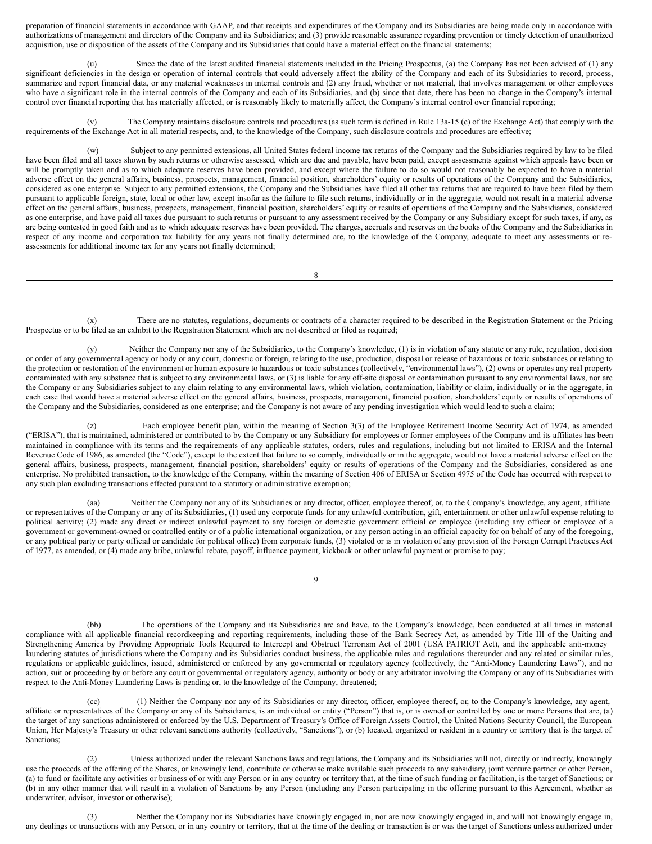preparation of financial statements in accordance with GAAP, and that receipts and expenditures of the Company and its Subsidiaries are being made only in accordance with authorizations of management and directors of the Company and its Subsidiaries; and (3) provide reasonable assurance regarding prevention or timely detection of unauthorized acquisition, use or disposition of the assets of the Company and its Subsidiaries that could have a material effect on the financial statements;

Since the date of the latest audited financial statements included in the Pricing Prospectus, (a) the Company has not been advised of (1) any significant deficiencies in the design or operation of internal controls that could adversely affect the ability of the Company and each of its Subsidiaries to record, process, summarize and report financial data, or any material weaknesses in internal controls and (2) any fraud, whether or not material, that involves management or other employees who have a significant role in the internal controls of the Company and each of its Subsidiaries, and (b) since that date, there has been no change in the Company's internal control over financial reporting that has materially affected, or is reasonably likely to materially affect, the Company's internal control over financial reporting;

(v) The Company maintains disclosure controls and procedures (as such term is defined in Rule 13a-15 (e) of the Exchange Act) that comply with the requirements of the Exchange Act in all material respects, and, to the knowledge of the Company, such disclosure controls and procedures are effective;

Subject to any permitted extensions, all United States federal income tax returns of the Company and the Subsidiaries required by law to be filed have been filed and all taxes shown by such returns or otherwise assessed, which are due and payable, have been paid, except assessments against which appeals have been or will be promptly taken and as to which adequate reserves have been provided, and except where the failure to do so would not reasonably be expected to have a material adverse effect on the general affairs, business, prospects, management, financial position, shareholders' equity or results of operations of the Company and the Subsidiaries, considered as one enterprise. Subject to any permitted extensions, the Company and the Subsidiaries have filed all other tax returns that are required to have been filed by them pursuant to applicable foreign, state, local or other law, except insofar as the failure to file such returns, individually or in the aggregate, would not result in a material adverse effect on the general affairs, business, prospects, management, financial position, shareholders' equity or results of operations of the Company and the Subsidiaries, considered as one enterprise, and have paid all taxes due pursuant to such returns or pursuant to any assessment received by the Company or any Subsidiary except for such taxes, if any, as are being contested in good faith and as to which adequate reserves have been provided. The charges, accruals and reserves on the books of the Company and the Subsidiaries in respect of any income and corporation tax liability for any years not finally determined are, to the knowledge of the Company, adequate to meet any assessments or reassessments for additional income tax for any years not finally determined;

8

(x) There are no statutes, regulations, documents or contracts of a character required to be described in the Registration Statement or the Pricing Prospectus or to be filed as an exhibit to the Registration Statement which are not described or filed as required;

(y) Neither the Company nor any of the Subsidiaries, to the Company's knowledge, (1) is in violation of any statute or any rule, regulation, decision or order of any governmental agency or body or any court, domestic or foreign, relating to the use, production, disposal or release of hazardous or toxic substances or relating to the protection or restoration of the environment or human exposure to hazardous or toxic substances (collectively, "environmental laws"), (2) owns or operates any real property contaminated with any substance that is subject to any environmental laws, or (3) is liable for any off-site disposal or contamination pursuant to any environmental laws, nor are the Company or any Subsidiaries subject to any claim relating to any environmental laws, which violation, contamination, liability or claim, individually or in the aggregate, in each case that would have a material adverse effect on the general affairs, business, prospects, management, financial position, shareholders' equity or results of operations of the Company and the Subsidiaries, considered as one enterprise; and the Company is not aware of any pending investigation which would lead to such a claim;

Each employee benefit plan, within the meaning of Section 3(3) of the Employee Retirement Income Security Act of 1974, as amended ("ERISA"), that is maintained, administered or contributed to by the Company or any Subsidiary for employees or former employees of the Company and its affiliates has been maintained in compliance with its terms and the requirements of any applicable statutes, orders, rules and regulations, including but not limited to ERISA and the Internal Revenue Code of 1986, as amended (the "Code"), except to the extent that failure to so comply, individually or in the aggregate, would not have a material adverse effect on the general affairs, business, prospects, management, financial position, shareholders' equity or results of operations of the Company and the Subsidiaries, considered as one enterprise. No prohibited transaction, to the knowledge of the Company, within the meaning of Section 406 of ERISA or Section 4975 of the Code has occurred with respect to any such plan excluding transactions effected pursuant to a statutory or administrative exemption;

(aa) Neither the Company nor any of its Subsidiaries or any director, officer, employee thereof, or, to the Company's knowledge, any agent, affiliate or representatives of the Company or any of its Subsidiaries, (1) used any corporate funds for any unlawful contribution, gift, entertainment or other unlawful expense relating to political activity; (2) made any direct or indirect unlawful payment to any foreign or domestic government official or employee (including any officer or employee of a government or government-owned or controlled entity or of a public international organization, or any person acting in an official capacity for on behalf of any of the foregoing, or any political party or party official or candidate for political office) from corporate funds, (3) violated or is in violation of any provision of the Foreign Corrupt Practices Act of 1977, as amended, or (4) made any bribe, unlawful rebate, payoff, influence payment, kickback or other unlawful payment or promise to pay;

9

(bb) The operations of the Company and its Subsidiaries are and have, to the Company's knowledge, been conducted at all times in material compliance with all applicable financial recordkeeping and reporting requirements, including those of the Bank Secrecy Act, as amended by Title III of the Uniting and Strengthening America by Providing Appropriate Tools Required to Intercept and Obstruct Terrorism Act of 2001 (USA PATRIOT Act), and the applicable anti-money laundering statutes of jurisdictions where the Company and its Subsidiaries conduct business, the applicable rules and regulations thereunder and any related or similar rules, regulations or applicable guidelines, issued, administered or enforced by any governmental or regulatory agency (collectively, the "Anti-Money Laundering Laws"), and no action, suit or proceeding by or before any court or governmental or regulatory agency, authority or body or any arbitrator involving the Company or any of its Subsidiaries with respect to the Anti-Money Laundering Laws is pending or, to the knowledge of the Company, threatened;

(cc) (1) Neither the Company nor any of its Subsidiaries or any director, officer, employee thereof, or, to the Company's knowledge, any agent, affiliate or representatives of the Company or any of its Subsidiaries, is an individual or entity ("Person") that is, or is owned or controlled by one or more Persons that are, (a) the target of any sanctions administered or enforced by the U.S. Department of Treasury's Office of Foreign Assets Control, the United Nations Security Council, the European Union, Her Majesty's Treasury or other relevant sanctions authority (collectively, "Sanctions"), or (b) located, organized or resident in a country or territory that is the target of Sanctions;

Unless authorized under the relevant Sanctions laws and regulations, the Company and its Subsidiaries will not, directly or indirectly, knowingly use the proceeds of the offering of the Shares, or knowingly lend, contribute or otherwise make available such proceeds to any subsidiary, joint venture partner or other Person, (a) to fund or facilitate any activities or business of or with any Person or in any country or territory that, at the time of such funding or facilitation, is the target of Sanctions; or (b) in any other manner that will result in a violation of Sanctions by any Person (including any Person participating in the offering pursuant to this Agreement, whether as underwriter, advisor, investor or otherwise);

(3) Neither the Company nor its Subsidiaries have knowingly engaged in, nor are now knowingly engaged in, and will not knowingly engage in, any dealings or transactions with any Person, or in any country or territory, that at the time of the dealing or transaction is or was the target of Sanctions unless authorized under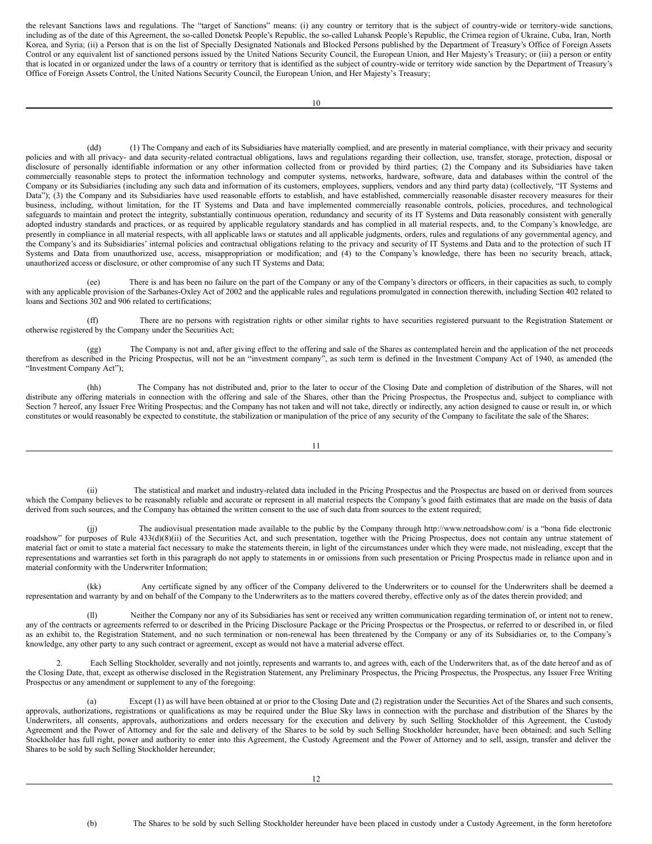the relevant Sanctions laws and regulations. The "target of Sanctions" means: (i) any country or territory that is the subject of country-wide or territory-wide sanctions, including as of the date of this Agreement, the so-called Donetsk People's Republic, the so-called Luhansk People's Republic, the Crimea region of Ukraine, Cuba, Iran, North Korea, and Syria; (ii) a Person that is on the list of Specially Designated Nationals and Blocked Persons published by the Department of Treasury's Office of Foreign Assets Control or any equivalent list of sanctioned persons issued by the United Nations Security Council, the European Union, and Her Majesty's Treasury; or (iii) a person or entity that is located in or organized under the laws of a country or territory that is identified as the subject of country-wide or territory wide sanction by the Department of Treasury's Office of Foreign Assets Control, the United Nations Security Council, the European Union, and Her Majesty's Treasury;

(dd) (1) The Company and each of its Subsidiaries have materially complied, and are presently in material compliance, with their privacy and security policies and with all privacy- and data security-related contractual obligations, laws and regulations regarding their collection, use, transfer, storage, protection, disposal or disclosure of personally identifiable information or any other information collected from or provided by third parties; (2) the Company and its Subsidiaries have taken commercially reasonable steps to protect the information technology and computer systems, networks, hardware, software, data and databases within the control of the Company or its Subsidiaries (including any such data and information of its customers, employees, suppliers, vendors and any third party data) (collectively, "IT Systems and Data"); (3) the Company and its Subsidiaries have used reasonable efforts to establish, and have established, commercially reasonable disaster recovery measures for their business, including, without limitation, for the IT Systems and Data and have implemented commercially reasonable controls, policies, procedures, and technological safeguards to maintain and protect the integrity, substantially continuous operation, redundancy and security of its IT Systems and Data reasonably consistent with generally adopted industry standards and practices, or as required by applicable regulatory standards and has complied in all material respects, and, to the Company's knowledge, are presently in compliance in all material respects, with all applicable laws or statutes and all applicable judgments, orders, rules and regulations of any governmental agency, and the Company's and its Subsidiaries' internal policies and contractual obligations relating to the privacy and security of IT Systems and Data and to the protection of such IT Systems and Data from unauthorized use, access, misappropriation or modification; and (4) to the Company's knowledge, there has been no security breach, attack, unauthorized access or disclosure, or other compromise of any such IT Systems and Data;

(ee) There is and has been no failure on the part of the Company or any of the Company's directors or officers, in their capacities as such, to comply with any applicable provision of the Sarbanes-Oxley Act of 2002 and the applicable rules and regulations promulgated in connection therewith, including Section 402 related to loans and Sections 302 and 906 related to certifications;

(ff) There are no persons with registration rights or other similar rights to have securities registered pursuant to the Registration Statement or otherwise registered by the Company under the Securities Act;

(gg) The Company is not and, after giving effect to the offering and sale of the Shares as contemplated herein and the application of the net proceeds therefrom as described in the Pricing Prospectus, will not be an "investment company", as such term is defined in the Investment Company Act of 1940, as amended (the "Investment Company Act");

(hh) The Company has not distributed and, prior to the later to occur of the Closing Date and completion of distribution of the Shares, will not distribute any offering materials in connection with the offering and sale of the Shares, other than the Pricing Prospectus, the Prospectus and, subject to compliance with Section 7 hereof, any Issuer Free Writing Prospectus; and the Company has not taken and will not take, directly or indirectly, any action designed to cause or result in, or which constitutes or would reasonably be expected to constitute, the stabilization or manipulation of the price of any security of the Company to facilitate the sale of the Shares;

11

(ii) The statistical and market and industry-related data included in the Pricing Prospectus and the Prospectus are based on or derived from sources which the Company believes to be reasonably reliable and accurate or represent in all material respects the Company's good faith estimates that are made on the basis of data derived from such sources, and the Company has obtained the written consent to the use of such data from sources to the extent required;

(jj) The audiovisual presentation made available to the public by the Company through http://www.netroadshow.com/ is a "bona fide electronic roadshow" for purposes of Rule 433(d)(8)(ii) of the Securities Act, and such presentation, together with the Pricing Prospectus, does not contain any untrue statement of material fact or omit to state a material fact necessary to make the statements therein, in light of the circumstances under which they were made, not misleading, except that the representations and warranties set forth in this paragraph do not apply to statements in or omissions from such presentation or Pricing Prospectus made in reliance upon and in material conformity with the Underwriter Information;

(kk) Any certificate signed by any officer of the Company delivered to the Underwriters or to counsel for the Underwriters shall be deemed a representation and warranty by and on behalf of the Company to the Underwriters as to the matters covered thereby, effective only as of the dates therein provided; and

(ll) Neither the Company nor any of its Subsidiaries has sent or received any written communication regarding termination of, or intent not to renew, any of the contracts or agreements referred to or described in the Pricing Disclosure Package or the Pricing Prospectus or the Prospectus, or referred to or described in, or filed as an exhibit to, the Registration Statement, and no such termination or non-renewal has been threatened by the Company or any of its Subsidiaries or, to the Company's knowledge, any other party to any such contract or agreement, except as would not have a material adverse effect.

Each Selling Stockholder, severally and not jointly, represents and warrants to, and agrees with, each of the Underwriters that, as of the date hereof and as of the Closing Date, that, except as otherwise disclosed in the Registration Statement, any Preliminary Prospectus, the Pricing Prospectus, the Prospectus, any Issuer Free Writing Prospectus or any amendment or supplement to any of the foregoing:

(a) Except (1) as will have been obtained at or prior to the Closing Date and (2) registration under the Securities Act of the Shares and such consents, approvals, authorizations, registrations or qualifications as may be required under the Blue Sky laws in connection with the purchase and distribution of the Shares by the Underwriters, all consents, approvals, authorizations and orders necessary for the execution and delivery by such Selling Stockholder of this Agreement, the Custody Agreement and the Power of Attorney and for the sale and delivery of the Shares to be sold by such Selling Stockholder hereunder, have been obtained; and such Selling Stockholder has full right, power and authority to enter into this Agreement, the Custody Agreement and the Power of Attorney and to sell, assign, transfer and deliver the Shares to be sold by such Selling Stockholder hereunder;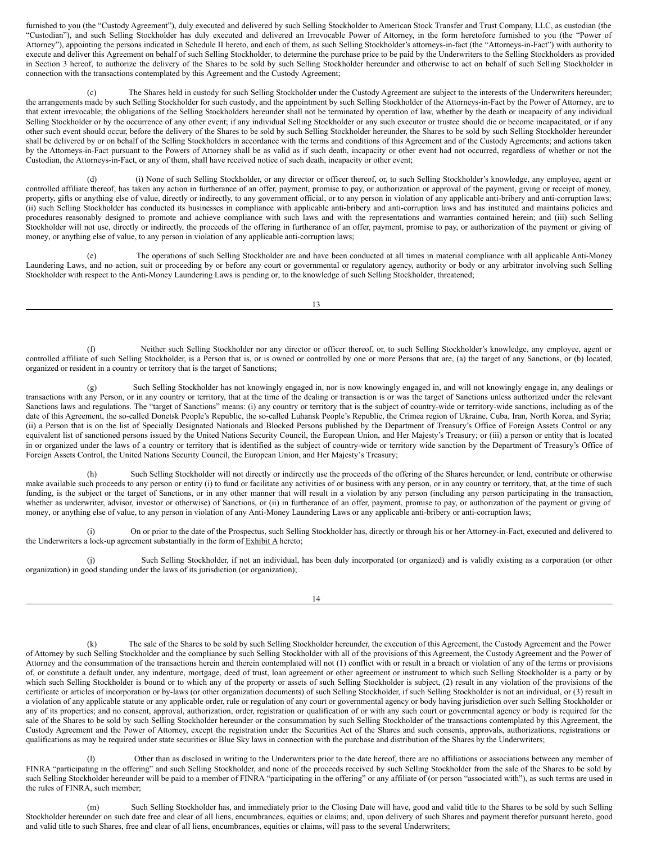furnished to you (the "Custody Agreement"), duly executed and delivered by such Selling Stockholder to American Stock Transfer and Trust Company, LLC, as custodian (the "Custodian"), and such Selling Stockholder has duly executed and delivered an Irrevocable Power of Attorney, in the form heretofore furnished to you (the "Power of Attorney"), appointing the persons indicated in Schedule II hereto, and each of them, as such Selling Stockholder's attorneys-in-fact (the "Attorneys-in-Fact") with authority to execute and deliver this Agreement on behalf of such Selling Stockholder, to determine the purchase price to be paid by the Underwriters to the Selling Stockholders as provided in Section 3 hereof, to authorize the delivery of the Shares to be sold by such Selling Stockholder hereunder and otherwise to act on behalf of such Selling Stockholder in connection with the transactions contemplated by this Agreement and the Custody Agreement;

(c) The Shares held in custody for such Selling Stockholder under the Custody Agreement are subject to the interests of the Underwriters hereunder; the arrangements made by such Selling Stockholder for such custody, and the appointment by such Selling Stockholder of the Attorneys-in-Fact by the Power of Attorney, are to that extent irrevocable; the obligations of the Selling Stockholders hereunder shall not be terminated by operation of law, whether by the death or incapacity of any individual Selling Stockholder or by the occurrence of any other event; if any individual Selling Stockholder or any such executor or trustee should die or become incapacitated, or if any other such event should occur, before the delivery of the Shares to be sold by such Selling Stockholder hereunder, the Shares to be sold by such Selling Stockholder hereunder shall be delivered by or on behalf of the Selling Stockholders in accordance with the terms and conditions of this Agreement and of the Custody Agreements; and actions taken by the Attorneys-in-Fact pursuant to the Powers of Attorney shall be as valid as if such death, incapacity or other event had not occurred, regardless of whether or not the Custodian, the Attorneys-in-Fact, or any of them, shall have received notice of such death, incapacity or other event;

(i) None of such Selling Stockholder, or any director or officer thereof, or, to such Selling Stockholder's knowledge, any employee, agent or controlled affiliate thereof, has taken any action in furtherance of an offer, payment, promise to pay, or authorization or approval of the payment, giving or receipt of money, property, gifts or anything else of value, directly or indirectly, to any government official, or to any person in violation of any applicable anti-bribery and anti-corruption laws; (ii) such Selling Stockholder has conducted its businesses in compliance with applicable anti-bribery and anti-corruption laws and has instituted and maintains policies and procedures reasonably designed to promote and achieve compliance with such laws and with the representations and warranties contained herein; and (iii) such Selling Stockholder will not use, directly or indirectly, the proceeds of the offering in furtherance of an offer, payment, promise to pay, or authorization of the payment or giving of money, or anything else of value, to any person in violation of any applicable anti-corruption laws;

(e) The operations of such Selling Stockholder are and have been conducted at all times in material compliance with all applicable Anti-Money Laundering Laws, and no action, suit or proceeding by or before any court or governmental or regulatory agency, authority or body or any arbitrator involving such Selling Stockholder with respect to the Anti-Money Laundering Laws is pending or, to the knowledge of such Selling Stockholder, threatened;

13

(f) Neither such Selling Stockholder nor any director or officer thereof, or, to such Selling Stockholder's knowledge, any employee, agent or controlled affiliate of such Selling Stockholder, is a Person that is, or is owned or controlled by one or more Persons that are, (a) the target of any Sanctions, or (b) located, organized or resident in a country or territory that is the target of Sanctions;

Such Selling Stockholder has not knowingly engaged in, nor is now knowingly engaged in, and will not knowingly engage in, any dealings or transactions with any Person, or in any country or territory, that at the time of the dealing or transaction is or was the target of Sanctions unless authorized under the relevant Sanctions laws and regulations. The "target of Sanctions" means: (i) any country or territory that is the subject of country-wide or territory-wide sanctions, including as of the date of this Agreement, the so-called Donetsk People's Republic, the so-called Luhansk People's Republic, the Crimea region of Ukraine, Cuba, Iran, North Korea, and Syria; (ii) a Person that is on the list of Specially Designated Nationals and Blocked Persons published by the Department of Treasury's Office of Foreign Assets Control or any equivalent list of sanctioned persons issued by the United Nations Security Council, the European Union, and Her Majesty's Treasury; or (iii) a person or entity that is located in or organized under the laws of a country or territory that is identified as the subject of country-wide or territory wide sanction by the Department of Treasury's Office of Foreign Assets Control, the United Nations Security Council, the European Union, and Her Majesty's Treasury;

(h) Such Selling Stockholder will not directly or indirectly use the proceeds of the offering of the Shares hereunder, or lend, contribute or otherwise make available such proceeds to any person or entity (i) to fund or facilitate any activities of or business with any person, or in any country or territory, that, at the time of such funding, is the subject or the target of Sanctions, or in any other manner that will result in a violation by any person (including any person participating in the transaction, whether as underwriter, advisor, investor or otherwise) of Sanctions, or (ii) in furtherance of an offer, payment, promise to pay, or authorization of the payment or giving of money, or anything else of value, to any person in violation of any Anti-Money Laundering Laws or any applicable anti-bribery or anti-corruption laws;

(i) On or prior to the date of the Prospectus, such Selling Stockholder has, directly or through his or her Attorney-in-Fact, executed and delivered to the Underwriters a lock-up agreement substantially in the form of Exhibit A hereto;

(j) Such Selling Stockholder, if not an individual, has been duly incorporated (or organized) and is validly existing as a corporation (or other organization) in good standing under the laws of its jurisdiction (or organization);

14

The sale of the Shares to be sold by such Selling Stockholder hereunder, the execution of this Agreement, the Custody Agreement and the Power of Attorney by such Selling Stockholder and the compliance by such Selling Stockholder with all of the provisions of this Agreement, the Custody Agreement and the Power of Attorney and the consummation of the transactions herein and therein contemplated will not (1) conflict with or result in a breach or violation of any of the terms or provisions of, or constitute a default under, any indenture, mortgage, deed of trust, loan agreement or other agreement or instrument to which such Selling Stockholder is a party or by which such Selling Stockholder is bound or to which any of the property or assets of such Selling Stockholder is subject, (2) result in any violation of the provisions of the certificate or articles of incorporation or by-laws (or other organization documents) of such Selling Stockholder, if such Selling Stockholder is not an individual, or (3) result in a violation of any applicable statute or any applicable order, rule or regulation of any court or governmental agency or body having jurisdiction over such Selling Stockholder or any of its properties; and no consent, approval, authorization, order, registration or qualification of or with any such court or governmental agency or body is required for the sale of the Shares to be sold by such Selling Stockholder hereunder or the consummation by such Selling Stockholder of the transactions contemplated by this Agreement, the Custody Agreement and the Power of Attorney, except the registration under the Securities Act of the Shares and such consents, approvals, authorizations, registrations or qualifications as may be required under state securities or Blue Sky laws in connection with the purchase and distribution of the Shares by the Underwriters;

Other than as disclosed in writing to the Underwriters prior to the date hereof, there are no affiliations or associations between any member of FINRA "participating in the offering" and such Selling Stockholder, and none of the proceeds received by such Selling Stockholder from the sale of the Shares to be sold by such Selling Stockholder hereunder will be paid to a member of FINRA "participating in the offering" or any affiliate of (or person "associated with"), as such terms are used in the rules of FINRA, such member;

Such Selling Stockholder has, and immediately prior to the Closing Date will have, good and valid title to the Shares to be sold by such Selling Stockholder hereunder on such date free and clear of all liens, encumbrances, equities or claims; and, upon delivery of such Shares and payment therefor pursuant hereto, good and valid title to such Shares, free and clear of all liens, encumbrances, equities or claims, will pass to the several Underwriters;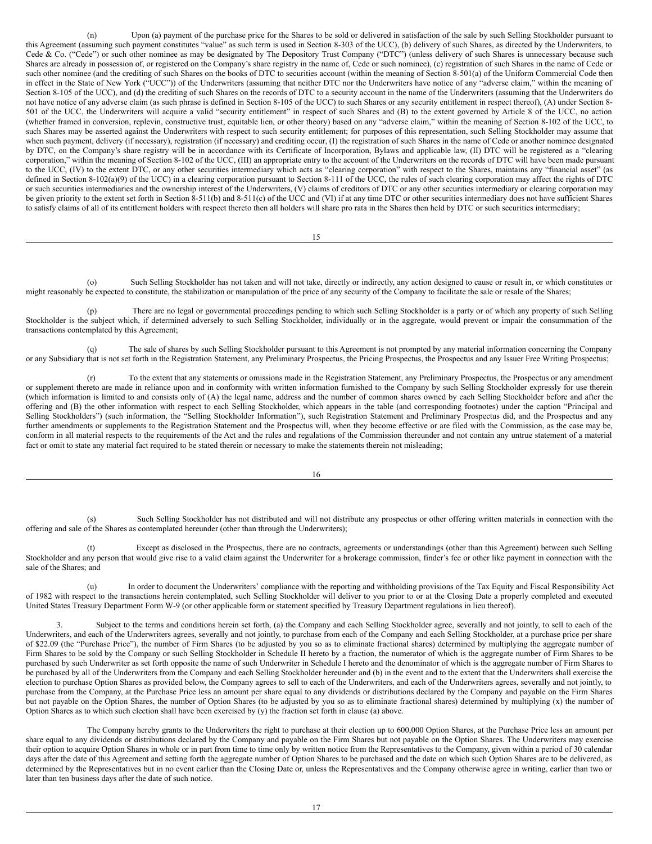(n) Upon (a) payment of the purchase price for the Shares to be sold or delivered in satisfaction of the sale by such Selling Stockholder pursuant to this Agreement (assuming such payment constitutes "value" as such term is used in Section 8-303 of the UCC), (b) delivery of such Shares, as directed by the Underwriters, to Cede & Co. ("Cede") or such other nominee as may be designated by The Depository Trust Company ("DTC") (unless delivery of such Shares is unnecessary because such Shares are already in possession of, or registered on the Company's share registry in the name of, Cede or such nominee), (c) registration of such Shares in the name of Cede or such other nominee (and the crediting of such Shares on the books of DTC to securities account (within the meaning of Section 8-501(a) of the Uniform Commercial Code then in effect in the State of New York ("UCC")) of the Underwriters (assuming that neither DTC nor the Underwriters have notice of any "adverse claim," within the meaning of Section 8-105 of the UCC), and (d) the crediting of such Shares on the records of DTC to a security account in the name of the Underwriters (assuming that the Underwriters do not have notice of any adverse claim (as such phrase is defined in Section 8-105 of the UCC) to such Shares or any security entitlement in respect thereof), (A) under Section 8- 501 of the UCC, the Underwriters will acquire a valid "security entitlement" in respect of such Shares and (B) to the extent governed by Article 8 of the UCC, no action (whether framed in conversion, replevin, constructive trust, equitable lien, or other theory) based on any "adverse claim," within the meaning of Section 8-102 of the UCC, to such Shares may be asserted against the Underwriters with respect to such security entitlement; for purposes of this representation, such Selling Stockholder may assume that when such payment, delivery (if necessary), registration (if necessary) and crediting occur, (I) the registration of such Shares in the name of Cede or another nominee designated by DTC, on the Company's share registry will be in accordance with its Certificate of Incorporation, Bylaws and applicable law, (II) DTC will be registered as a "clearing corporation," within the meaning of Section 8-102 of the UCC, (III) an appropriate entry to the account of the Underwriters on the records of DTC will have been made pursuant to the UCC, (IV) to the extent DTC, or any other securities intermediary which acts as "clearing corporation" with respect to the Shares, maintains any "financial asset" (as defined in Section 8-102(a)(9) of the UCC) in a clearing corporation pursuant to Section 8-111 of the UCC, the rules of such clearing corporation may affect the rights of DTC or such securities intermediaries and the ownership interest of the Underwriters, (V) claims of creditors of DTC or any other securities intermediary or clearing corporation may be given priority to the extent set forth in Section 8-511(b) and 8-511(c) of the UCC and (VI) if at any time DTC or other securities intermediary does not have sufficient Shares to satisfy claims of all of its entitlement holders with respect thereto then all holders will share pro rata in the Shares then held by DTC or such securities intermediary;

15

(o) Such Selling Stockholder has not taken and will not take, directly or indirectly, any action designed to cause or result in, or which constitutes or might reasonably be expected to constitute, the stabilization or manipulation of the price of any security of the Company to facilitate the sale or resale of the Shares;

(p) There are no legal or governmental proceedings pending to which such Selling Stockholder is a party or of which any property of such Selling Stockholder is the subject which, if determined adversely to such Selling Stockholder, individually or in the aggregate, would prevent or impair the consummation of the transactions contemplated by this Agreement;

(q) The sale of shares by such Selling Stockholder pursuant to this Agreement is not prompted by any material information concerning the Company or any Subsidiary that is not set forth in the Registration Statement, any Preliminary Prospectus, the Pricing Prospectus, the Prospectus and any Issuer Free Writing Prospectus;

(r) To the extent that any statements or omissions made in the Registration Statement, any Preliminary Prospectus, the Prospectus or any amendment or supplement thereto are made in reliance upon and in conformity with written information furnished to the Company by such Selling Stockholder expressly for use therein (which information is limited to and consists only of (A) the legal name, address and the number of common shares owned by each Selling Stockholder before and after the offering and (B) the other information with respect to each Selling Stockholder, which appears in the table (and corresponding footnotes) under the caption "Principal and Selling Stockholders") (such information, the "Selling Stockholder Information"), such Registration Statement and Preliminary Prospectus did, and the Prospectus and any further amendments or supplements to the Registration Statement and the Prospectus will, when they become effective or are filed with the Commission, as the case may be, conform in all material respects to the requirements of the Act and the rules and regulations of the Commission thereunder and not contain any untrue statement of a material fact or omit to state any material fact required to be stated therein or necessary to make the statements therein not misleading;

16

(s) Such Selling Stockholder has not distributed and will not distribute any prospectus or other offering written materials in connection with the offering and sale of the Shares as contemplated hereunder (other than through the Underwriters);

(t) Except as disclosed in the Prospectus, there are no contracts, agreements or understandings (other than this Agreement) between such Selling Stockholder and any person that would give rise to a valid claim against the Underwriter for a brokerage commission, finder's fee or other like payment in connection with the sale of the Shares; and

(u) In order to document the Underwriters' compliance with the reporting and withholding provisions of the Tax Equity and Fiscal Responsibility Act of 1982 with respect to the transactions herein contemplated, such Selling Stockholder will deliver to you prior to or at the Closing Date a properly completed and executed United States Treasury Department Form W-9 (or other applicable form or statement specified by Treasury Department regulations in lieu thereof).

Subject to the terms and conditions herein set forth, (a) the Company and each Selling Stockholder agree, severally and not jointly, to sell to each of the Underwriters, and each of the Underwriters agrees, severally and not jointly, to purchase from each of the Company and each Selling Stockholder, at a purchase price per share of \$22.09 (the "Purchase Price"), the number of Firm Shares (to be adjusted by you so as to eliminate fractional shares) determined by multiplying the aggregate number of Firm Shares to be sold by the Company or such Selling Stockholder in Schedule II hereto by a fraction, the numerator of which is the aggregate number of Firm Shares to be purchased by such Underwriter as set forth opposite the name of such Underwriter in Schedule I hereto and the denominator of which is the aggregate number of Firm Shares to be purchased by all of the Underwriters from the Company and each Selling Stockholder hereunder and (b) in the event and to the extent that the Underwriters shall exercise the election to purchase Option Shares as provided below, the Company agrees to sell to each of the Underwriters, and each of the Underwriters agrees, severally and not jointly, to purchase from the Company, at the Purchase Price less an amount per share equal to any dividends or distributions declared by the Company and payable on the Firm Shares but not payable on the Option Shares, the number of Option Shares (to be adjusted by you so as to eliminate fractional shares) determined by multiplying (x) the number of Option Shares as to which such election shall have been exercised by (y) the fraction set forth in clause (a) above.

The Company hereby grants to the Underwriters the right to purchase at their election up to 600,000 Option Shares, at the Purchase Price less an amount per share equal to any dividends or distributions declared by the Company and payable on the Firm Shares but not payable on the Option Shares. The Underwriters may exercise their option to acquire Option Shares in whole or in part from time to time only by written notice from the Representatives to the Company, given within a period of 30 calendar days after the date of this Agreement and setting forth the aggregate number of Option Shares to be purchased and the date on which such Option Shares are to be delivered, as determined by the Representatives but in no event earlier than the Closing Date or, unless the Representatives and the Company otherwise agree in writing, earlier than two or later than ten business days after the date of such notice.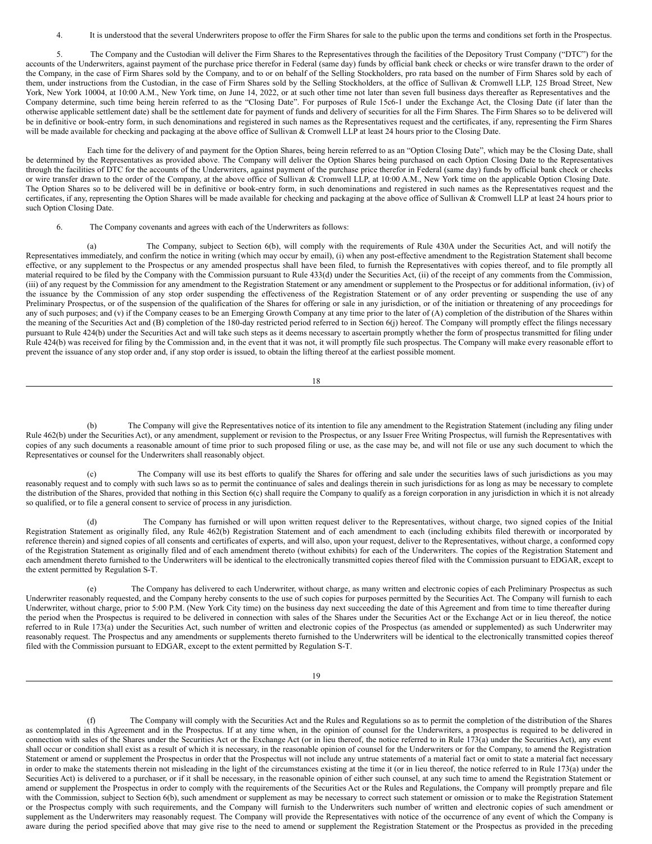4. It is understood that the several Underwriters propose to offer the Firm Shares for sale to the public upon the terms and conditions set forth in the Prospectus.

5. The Company and the Custodian will deliver the Firm Shares to the Representatives through the facilities of the Depository Trust Company ("DTC") for the accounts of the Underwriters, against payment of the purchase price therefor in Federal (same day) funds by official bank check or checks or wire transfer drawn to the order of the Company, in the case of Firm Shares sold by the Company, and to or on behalf of the Selling Stockholders, pro rata based on the number of Firm Shares sold by each of them, under instructions from the Custodian, in the case of Firm Shares sold by the Selling Stockholders, at the office of Sullivan & Cromwell LLP, 125 Broad Street, New York, New York 10004, at 10:00 A.M., New York time, on June 14, 2022, or at such other time not later than seven full business days thereafter as Representatives and the Company determine, such time being herein referred to as the "Closing Date". For purposes of Rule 15c6-1 under the Exchange Act, the Closing Date (if later than the otherwise applicable settlement date) shall be the settlement date for payment of funds and delivery of securities for all the Firm Shares. The Firm Shares so to be delivered will be in definitive or book-entry form, in such denominations and registered in such names as the Representatives request and the certificates, if any, representing the Firm Shares will be made available for checking and packaging at the above office of Sullivan & Cromwell LLP at least 24 hours prior to the Closing Date.

Each time for the delivery of and payment for the Option Shares, being herein referred to as an "Option Closing Date", which may be the Closing Date, shall be determined by the Representatives as provided above. The Company will deliver the Option Shares being purchased on each Option Closing Date to the Representatives through the facilities of DTC for the accounts of the Underwriters, against payment of the purchase price therefor in Federal (same day) funds by official bank check or checks or wire transfer drawn to the order of the Company, at the above office of Sullivan & Cromwell LLP, at 10:00 A.M., New York time on the applicable Option Closing Date. The Option Shares so to be delivered will be in definitive or book-entry form, in such denominations and registered in such names as the Representatives request and the certificates, if any, representing the Option Shares will be made available for checking and packaging at the above office of Sullivan & Cromwell LLP at least 24 hours prior to such Option Closing Date.

# 6. The Company covenants and agrees with each of the Underwriters as follows:

(a) The Company, subject to Section 6(b), will comply with the requirements of Rule 430A under the Securities Act, and will notify the Representatives immediately, and confirm the notice in writing (which may occur by email), (i) when any post-effective amendment to the Registration Statement shall become effective, or any supplement to the Prospectus or any amended prospectus shall have been filed, to furnish the Representatives with copies thereof, and to file promptly all material required to be filed by the Company with the Commission pursuant to Rule 433(d) under the Securities Act, (ii) of the receipt of any comments from the Commission, (iii) of any request by the Commission for any amendment to the Registration Statement or any amendment or supplement to the Prospectus or for additional information, (iv) of the issuance by the Commission of any stop order suspending the effectiveness of the Registration Statement or of any order preventing or suspending the use of any Preliminary Prospectus, or of the suspension of the qualification of the Shares for offering or sale in any jurisdiction, or of the initiation or threatening of any proceedings for any of such purposes; and (v) if the Company ceases to be an Emerging Growth Company at any time prior to the later of (A) completion of the distribution of the Shares within the meaning of the Securities Act and (B) completion of the 180-day restricted period referred to in Section 6(j) hereof. The Company will promptly effect the filings necessary pursuant to Rule 424(b) under the Securities Act and will take such steps as it deems necessary to ascertain promptly whether the form of prospectus transmitted for filing under Rule 424(b) was received for filing by the Commission and, in the event that it was not, it will promptly file such prospectus. The Company will make every reasonable effort to prevent the issuance of any stop order and, if any stop order is issued, to obtain the lifting thereof at the earliest possible moment.

18

(b) The Company will give the Representatives notice of its intention to file any amendment to the Registration Statement (including any filing under Rule 462(b) under the Securities Act), or any amendment, supplement or revision to the Prospectus, or any Issuer Free Writing Prospectus, will furnish the Representatives with copies of any such documents a reasonable amount of time prior to such proposed filing or use, as the case may be, and will not file or use any such document to which the Representatives or counsel for the Underwriters shall reasonably object.

(c) The Company will use its best efforts to qualify the Shares for offering and sale under the securities laws of such jurisdictions as you may reasonably request and to comply with such laws so as to permit the continuance of sales and dealings therein in such jurisdictions for as long as may be necessary to complete the distribution of the Shares, provided that nothing in this Section 6(c) shall require the Company to qualify as a foreign corporation in any jurisdiction in which it is not already so qualified, or to file a general consent to service of process in any jurisdiction.

(d) The Company has furnished or will upon written request deliver to the Representatives, without charge, two signed copies of the Initial Registration Statement as originally filed, any Rule 462(b) Registration Statement and of each amendment to each (including exhibits filed therewith or incorporated by reference therein) and signed copies of all consents and certificates of experts, and will also, upon your request, deliver to the Representatives, without charge, a conformed copy of the Registration Statement as originally filed and of each amendment thereto (without exhibits) for each of the Underwriters. The copies of the Registration Statement and each amendment thereto furnished to the Underwriters will be identical to the electronically transmitted copies thereof filed with the Commission pursuant to EDGAR, except to the extent permitted by Regulation S-T.

(e) The Company has delivered to each Underwriter, without charge, as many written and electronic copies of each Preliminary Prospectus as such Underwriter reasonably requested, and the Company hereby consents to the use of such copies for purposes permitted by the Securities Act. The Company will furnish to each Underwriter, without charge, prior to 5:00 P.M. (New York City time) on the business day next succeeding the date of this Agreement and from time to time thereafter during the period when the Prospectus is required to be delivered in connection with sales of the Shares under the Securities Act or the Exchange Act or in lieu thereof, the notice referred to in Rule 173(a) under the Securities Act, such number of written and electronic copies of the Prospectus (as amended or supplemented) as such Underwriter may reasonably request. The Prospectus and any amendments or supplements thereto furnished to the Underwriters will be identical to the electronically transmitted copies thereof filed with the Commission pursuant to EDGAR, except to the extent permitted by Regulation S-T.

19

The Company will comply with the Securities Act and the Rules and Regulations so as to permit the completion of the distribution of the Shares as contemplated in this Agreement and in the Prospectus. If at any time when, in the opinion of counsel for the Underwriters, a prospectus is required to be delivered in connection with sales of the Shares under the Securities Act or the Exchange Act (or in lieu thereof, the notice referred to in Rule 173(a) under the Securities Act), any event shall occur or condition shall exist as a result of which it is necessary, in the reasonable opinion of counsel for the Underwriters or for the Company, to amend the Registration Statement or amend or supplement the Prospectus in order that the Prospectus will not include any untrue statements of a material fact or omit to state a material fact necessary in order to make the statements therein not misleading in the light of the circumstances existing at the time it (or in lieu thereof, the notice referred to in Rule 173(a) under the Securities Act) is delivered to a purchaser, or if it shall be necessary, in the reasonable opinion of either such counsel, at any such time to amend the Registration Statement or amend or supplement the Prospectus in order to comply with the requirements of the Securities Act or the Rules and Regulations, the Company will promptly prepare and file with the Commission, subject to Section 6(b), such amendment or supplement as may be necessary to correct such statement or omission or to make the Registration Statement or the Prospectus comply with such requirements, and the Company will furnish to the Underwriters such number of written and electronic copies of such amendment or supplement as the Underwriters may reasonably request. The Company will provide the Representatives with notice of the occurrence of any event of which the Company is aware during the period specified above that may give rise to the need to amend or supplement the Registration Statement or the Prospectus as provided in the preceding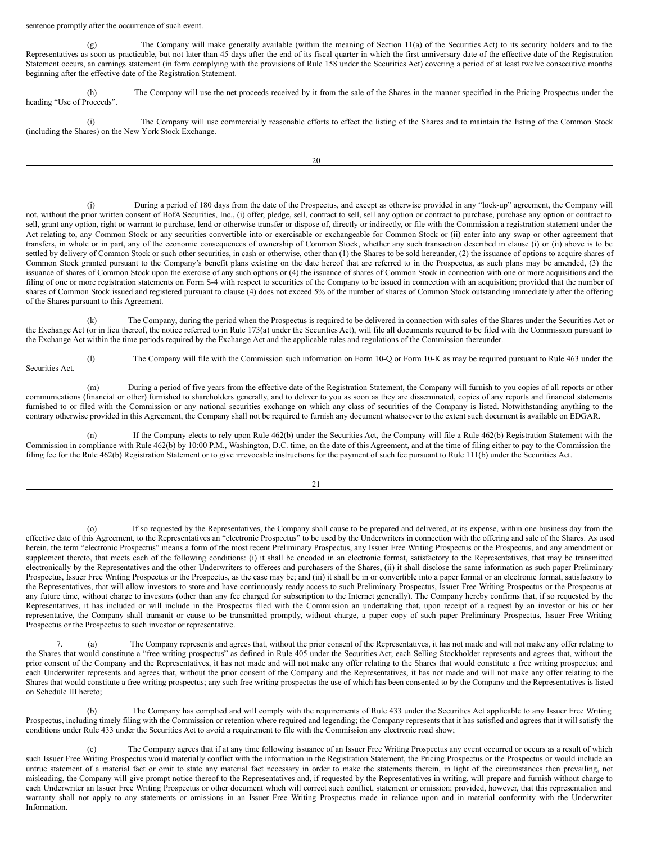#### <span id="page-10-0"></span>sentence promptly after the occurrence of such event.

(g) The Company will make generally available (within the meaning of Section 11(a) of the Securities Act) to its security holders and to the Representatives as soon as practicable, but not later than 45 days after the end of its fiscal quarter in which the first anniversary date of the effective date of the Registration Statement occurs, an earnings statement (in form complying with the provisions of Rule 158 under the Securities Act) covering a period of at least twelve consecutive months beginning after the effective date of the Registration Statement.

(h) The Company will use the net proceeds received by it from the sale of the Shares in the manner specified in the Pricing Prospectus under the heading "Use of Proceeds".

(i) The Company will use commercially reasonable efforts to effect the listing of the Shares and to maintain the listing of the Common Stock (including the Shares) on the New York Stock Exchange.

20

During a period of 180 days from the date of the Prospectus, and except as otherwise provided in any "lock-up" agreement, the Company will not, without the prior written consent of BofA Securities, Inc., (i) offer, pledge, sell, contract to sell, sell any option or contract to purchase, purchase any option or contract to sell, grant any option, right or warrant to purchase, lend or otherwise transfer or dispose of, directly or indirectly, or file with the Commission a registration statement under the Act relating to, any Common Stock or any securities convertible into or exercisable or exchangeable for Common Stock or (ii) enter into any swap or other agreement that transfers, in whole or in part, any of the economic consequences of ownership of Common Stock, whether any such transaction described in clause (i) or (ii) above is to be settled by delivery of Common Stock or such other securities, in cash or otherwise, other than (1) the Shares to be sold hereunder, (2) the issuance of options to acquire shares of Common Stock granted pursuant to the Company's benefit plans existing on the date hereof that are referred to in the Prospectus, as such plans may be amended, (3) the issuance of shares of Common Stock upon the exercise of any such options or (4) the issuance of shares of Common Stock in connection with one or more acquisitions and the filing of one or more registration statements on Form S-4 with respect to securities of the Company to be issued in connection with an acquisition; provided that the number of shares of Common Stock issued and registered pursuant to clause (4) does not exceed 5% of the number of shares of Common Stock outstanding immediately after the offering of the Shares pursuant to this Agreement.

The Company, during the period when the Prospectus is required to be delivered in connection with sales of the Shares under the Securities Act or the Exchange Act (or in lieu thereof, the notice referred to in Rule 173(a) under the Securities Act), will file all documents required to be filed with the Commission pursuant to the Exchange Act within the time periods required by the Exchange Act and the applicable rules and regulations of the Commission thereunder.

(l) The Company will file with the Commission such information on Form 10-Q or Form 10-K as may be required pursuant to Rule 463 under the Securities Act.

(m) During a period of five years from the effective date of the Registration Statement, the Company will furnish to you copies of all reports or other communications (financial or other) furnished to shareholders generally, and to deliver to you as soon as they are disseminated, copies of any reports and financial statements furnished to or filed with the Commission or any national securities exchange on which any class of securities of the Company is listed. Notwithstanding anything to the contrary otherwise provided in this Agreement, the Company shall not be required to furnish any document whatsoever to the extent such document is available on EDGAR.

(n) If the Company elects to rely upon Rule 462(b) under the Securities Act, the Company will file a Rule 462(b) Registration Statement with the Commission in compliance with Rule 462(b) by 10:00 P.M., Washington, D.C. time, on the date of this Agreement, and at the time of filing either to pay to the Commission the filing fee for the Rule 462(b) Registration Statement or to give irrevocable instructions for the payment of such fee pursuant to Rule 111(b) under the Securities Act.

21

(o) If so requested by the Representatives, the Company shall cause to be prepared and delivered, at its expense, within one business day from the effective date of this Agreement, to the Representatives an "electronic Prospectus" to be used by the Underwriters in connection with the offering and sale of the Shares. As used herein, the term "electronic Prospectus" means a form of the most recent Preliminary Prospectus, any Issuer Free Writing Prospectus or the Prospectus, and any amendment or supplement thereto, that meets each of the following conditions: (i) it shall be encoded in an electronic format, satisfactory to the Representatives, that may be transmitted electronically by the Representatives and the other Underwriters to offerees and purchasers of the Shares, (ii) it shall disclose the same information as such paper Preliminary Prospectus, Issuer Free Writing Prospectus or the Prospectus, as the case may be; and (iii) it shall be in or convertible into a paper format or an electronic format, satisfactory to the Representatives, that will allow investors to store and have continuously ready access to such Preliminary Prospectus, Issuer Free Writing Prospectus or the Prospectus at any future time, without charge to investors (other than any fee charged for subscription to the Internet generally). The Company hereby confirms that, if so requested by the Representatives, it has included or will include in the Prospectus filed with the Commission an undertaking that, upon receipt of a request by an investor or his or her representative, the Company shall transmit or cause to be transmitted promptly, without charge, a paper copy of such paper Preliminary Prospectus, Issuer Free Writing Prospectus or the Prospectus to such investor or representative.

The Company represents and agrees that, without the prior consent of the Representatives, it has not made and will not make any offer relating to the Shares that would constitute a "free writing prospectus" as defined in Rule 405 under the Securities Act; each Selling Stockholder represents and agrees that, without the prior consent of the Company and the Representatives, it has not made and will not make any offer relating to the Shares that would constitute a free writing prospectus; and each Underwriter represents and agrees that, without the prior consent of the Company and the Representatives, it has not made and will not make any offer relating to the Shares that would constitute a free writing prospectus; any such free writing prospectus the use of which has been consented to by the Company and the Representatives is listed on Schedule III hereto;

(b) The Company has complied and will comply with the requirements of Rule 433 under the Securities Act applicable to any Issuer Free Writing Prospectus, including timely filing with the Commission or retention where required and legending; the Company represents that it has satisfied and agrees that it will satisfy the conditions under Rule 433 under the Securities Act to avoid a requirement to file with the Commission any electronic road show;

(c) The Company agrees that if at any time following issuance of an Issuer Free Writing Prospectus any event occurred or occurs as a result of which such Issuer Free Writing Prospectus would materially conflict with the information in the Registration Statement, the Pricing Prospectus or the Prospectus or would include an untrue statement of a material fact or omit to state any material fact necessary in order to make the statements therein, in light of the circumstances then prevailing, not misleading, the Company will give prompt notice thereof to the Representatives and, if requested by the Representatives in writing, will prepare and furnish without charge to each Underwriter an Issuer Free Writing Prospectus or other document which will correct such conflict, statement or omission; provided, however, that this representation and warranty shall not apply to any statements or omissions in an Issuer Free Writing Prospectus made in reliance upon and in material conformity with the Underwriter Information.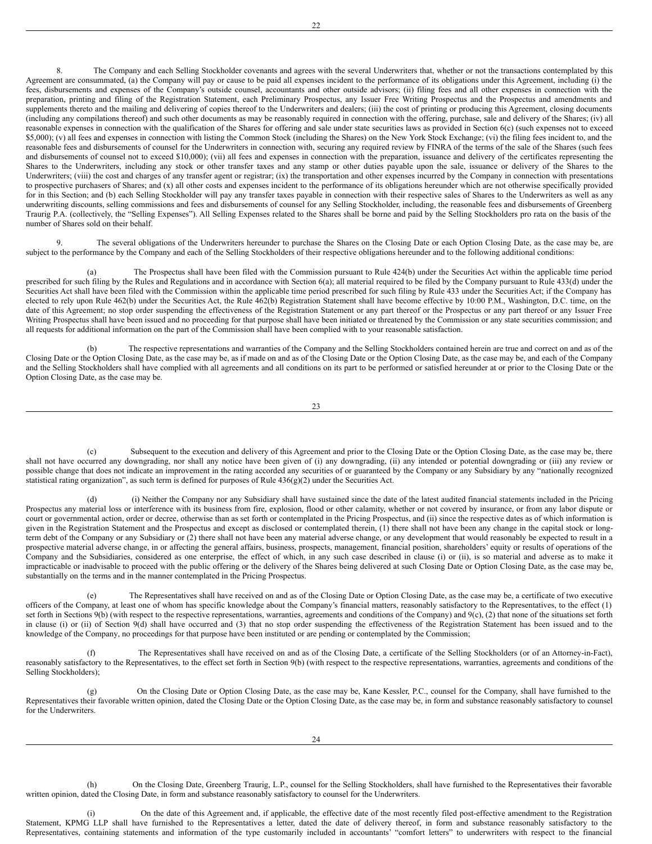8. The Company and each Selling Stockholder covenants and agrees with the several Underwriters that, whether or not the transactions contemplated by this Agreement are consummated, (a) the Company will pay or cause to be paid all expenses incident to the performance of its obligations under this Agreement, including (i) the fees, disbursements and expenses of the Company's outside counsel, accountants and other outside advisors; (ii) filing fees and all other expenses in connection with the preparation, printing and filing of the Registration Statement, each Preliminary Prospectus, any Issuer Free Writing Prospectus and the Prospectus and amendments and supplements thereto and the mailing and delivering of copies thereof to the Underwriters and dealers; (iii) the cost of printing or producing this Agreement, closing documents (including any compilations thereof) and such other documents as may be reasonably required in connection with the offering, purchase, sale and delivery of the Shares; (iv) all reasonable expenses in connection with the qualification of the Shares for offering and sale under state securities laws as provided in Section 6(c) (such expenses not to exceed \$5,000); (v) all fees and expenses in connection with listing the Common Stock (including the Shares) on the New York Stock Exchange; (vi) the filing fees incident to, and the reasonable fees and disbursements of counsel for the Underwriters in connection with, securing any required review by FINRA of the terms of the sale of the Shares (such fees and disbursements of counsel not to exceed \$10,000); (vii) all fees and expenses in connection with the preparation, issuance and delivery of the certificates representing the Shares to the Underwriters, including any stock or other transfer taxes and any stamp or other duties payable upon the sale, issuance or delivery of the Shares to the Underwriters; (viii) the cost and charges of any transfer agent or registrar; (ix) the transportation and other expenses incurred by the Company in connection with presentations to prospective purchasers of Shares; and (x) all other costs and expenses incident to the performance of its obligations hereunder which are not otherwise specifically provided for in this Section; and (b) each Selling Stockholder will pay any transfer taxes payable in connection with their respective sales of Shares to the Underwriters as well as any underwriting discounts, selling commissions and fees and disbursements of counsel for any Selling Stockholder, including, the reasonable fees and disbursements of Greenberg Traurig P.A. (collectively, the "Selling Expenses"). All Selling Expenses related to the Shares shall be borne and paid by the Selling Stockholders pro rata on the basis of the number of Shares sold on their behalf.

9. The several obligations of the Underwriters hereunder to purchase the Shares on the Closing Date or each Option Closing Date, as the case may be, are subject to the performance by the Company and each of the Selling Stockholders of their respective obligations hereunder and to the following additional conditions:

The Prospectus shall have been filed with the Commission pursuant to Rule 424(b) under the Securities Act within the applicable time period prescribed for such filing by the Rules and Regulations and in accordance with Section 6(a); all material required to be filed by the Company pursuant to Rule 433(d) under the Securities Act shall have been filed with the Commission within the applicable time period prescribed for such filing by Rule 433 under the Securities Act; if the Company has elected to rely upon Rule 462(b) under the Securities Act, the Rule 462(b) Registration Statement shall have become effective by 10:00 P.M., Washington, D.C. time, on the date of this Agreement; no stop order suspending the effectiveness of the Registration Statement or any part thereof or the Prospectus or any part thereof or any Issuer Free Writing Prospectus shall have been issued and no proceeding for that purpose shall have been initiated or threatened by the Commission or any state securities commission; and all requests for additional information on the part of the Commission shall have been complied with to your reasonable satisfaction.

(b) The respective representations and warranties of the Company and the Selling Stockholders contained herein are true and correct on and as of the Closing Date or the Option Closing Date, as the case may be, as if made on and as of the Closing Date or the Option Closing Date, as the case may be, and each of the Company and the Selling Stockholders shall have complied with all agreements and all conditions on its part to be performed or satisfied hereunder at or prior to the Closing Date or the Option Closing Date, as the case may be.

23

(c) Subsequent to the execution and delivery of this Agreement and prior to the Closing Date or the Option Closing Date, as the case may be, there shall not have occurred any downgrading, nor shall any notice have been given of (i) any downgrading, (ii) any intended or potential downgrading or (iii) any review or possible change that does not indicate an improvement in the rating accorded any securities of or guaranteed by the Company or any Subsidiary by any "nationally recognized statistical rating organization", as such term is defined for purposes of Rule  $436(g)(2)$  under the Securities Act.

(d) (i) Neither the Company nor any Subsidiary shall have sustained since the date of the latest audited financial statements included in the Pricing Prospectus any material loss or interference with its business from fire, explosion, flood or other calamity, whether or not covered by insurance, or from any labor dispute or court or governmental action, order or decree, otherwise than as set forth or contemplated in the Pricing Prospectus, and (ii) since the respective dates as of which information is given in the Registration Statement and the Prospectus and except as disclosed or contemplated therein, (1) there shall not have been any change in the capital stock or longterm debt of the Company or any Subsidiary or (2) there shall not have been any material adverse change, or any development that would reasonably be expected to result in a prospective material adverse change, in or affecting the general affairs, business, prospects, management, financial position, shareholders' equity or results of operations of the Company and the Subsidiaries, considered as one enterprise, the effect of which, in any such case described in clause (i) or (ii), is so material and adverse as to make it impracticable or inadvisable to proceed with the public offering or the delivery of the Shares being delivered at such Closing Date or Option Closing Date, as the case may be, substantially on the terms and in the manner contemplated in the Pricing Prospectus.

The Representatives shall have received on and as of the Closing Date or Option Closing Date, as the case may be, a certificate of two executive officers of the Company, at least one of whom has specific knowledge about the Company's financial matters, reasonably satisfactory to the Representatives, to the effect (1) set forth in Sections 9(b) (with respect to the respective representations, warranties, agreements and conditions of the Company) and 9(c), (2) that none of the situations set forth in clause (i) or (ii) of Section 9(d) shall have occurred and (3) that no stop order suspending the effectiveness of the Registration Statement has been issued and to the knowledge of the Company, no proceedings for that purpose have been instituted or are pending or contemplated by the Commission;

(f) The Representatives shall have received on and as of the Closing Date, a certificate of the Selling Stockholders (or of an Attorney-in-Fact), reasonably satisfactory to the Representatives, to the effect set forth in Section 9(b) (with respect to the respective representations, warranties, agreements and conditions of the Selling Stockholders);

(g) On the Closing Date or Option Closing Date, as the case may be, Kane Kessler, P.C., counsel for the Company, shall have furnished to the Representatives their favorable written opinion, dated the Closing Date or the Option Closing Date, as the case may be, in form and substance reasonably satisfactory to counsel for the Underwriters.

(h) On the Closing Date, Greenberg Traurig, L.P., counsel for the Selling Stockholders, shall have furnished to the Representatives their favorable written opinion, dated the Closing Date, in form and substance reasonably satisfactory to counsel for the Underwriters.

(i) On the date of this Agreement and, if applicable, the effective date of the most recently filed post-effective amendment to the Registration Statement, KPMG LLP shall have furnished to the Representatives a letter, dated the date of delivery thereof, in form and substance reasonably satisfactory to the Representatives, containing statements and information of the type customarily included in accountants' "comfort letters" to underwriters with respect to the financial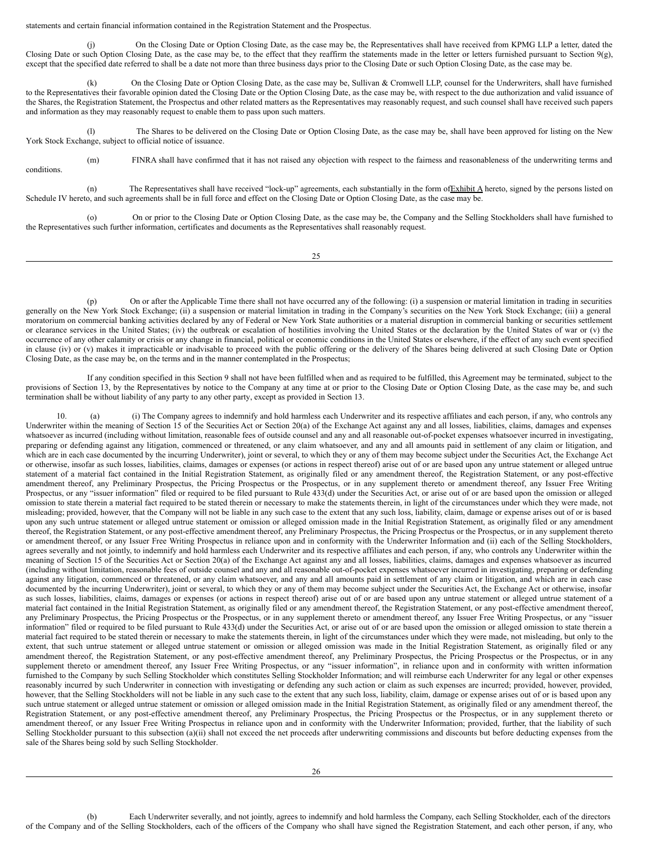statements and certain financial information contained in the Registration Statement and the Prospectus.

(j) On the Closing Date or Option Closing Date, as the case may be, the Representatives shall have received from KPMG LLP a letter, dated the Closing Date or such Option Closing Date, as the case may be, to the effect that they reaffirm the statements made in the letter or letters furnished pursuant to Section 9(g), except that the specified date referred to shall be a date not more than three business days prior to the Closing Date or such Option Closing Date, as the case may be.

(k) On the Closing Date or Option Closing Date, as the case may be, Sullivan & Cromwell LLP, counsel for the Underwriters, shall have furnished to the Representatives their favorable opinion dated the Closing Date or the Option Closing Date, as the case may be, with respect to the due authorization and valid issuance of the Shares, the Registration Statement, the Prospectus and other related matters as the Representatives may reasonably request, and such counsel shall have received such papers and information as they may reasonably request to enable them to pass upon such matters.

(l) The Shares to be delivered on the Closing Date or Option Closing Date, as the case may be, shall have been approved for listing on the New York Stock Exchange, subject to official notice of issuance.

conditions.

(m) FINRA shall have confirmed that it has not raised any objection with respect to the fairness and reasonableness of the underwriting terms and

(n) The Representatives shall have received "lock-up" agreements, each substantially in the form of Exhibit A hereto, signed by the persons listed on Schedule IV hereto, and such agreements shall be in full force and effect on the Closing Date or Option Closing Date, as the case may be.

(o) On or prior to the Closing Date or Option Closing Date, as the case may be, the Company and the Selling Stockholders shall have furnished to the Representatives such further information, certificates and documents as the Representatives shall reasonably request.

 $25$ 

(p) On or after the Applicable Time there shall not have occurred any of the following: (i) a suspension or material limitation in trading in securities generally on the New York Stock Exchange; (ii) a suspension or material limitation in trading in the Company's securities on the New York Stock Exchange; (iii) a general moratorium on commercial banking activities declared by any of Federal or New York State authorities or a material disruption in commercial banking or securities settlement or clearance services in the United States; (iv) the outbreak or escalation of hostilities involving the United States or the declaration by the United States of war or (v) the occurrence of any other calamity or crisis or any change in financial, political or economic conditions in the United States or elsewhere, if the effect of any such event specified in clause (iv) or (v) makes it impracticable or inadvisable to proceed with the public offering or the delivery of the Shares being delivered at such Closing Date or Option Closing Date, as the case may be, on the terms and in the manner contemplated in the Prospectus;

If any condition specified in this Section 9 shall not have been fulfilled when and as required to be fulfilled, this Agreement may be terminated, subject to the provisions of Section 13, by the Representatives by notice to the Company at any time at or prior to the Closing Date or Option Closing Date, as the case may be, and such termination shall be without liability of any party to any other party, except as provided in Section 13.

10. (a) (i) The Company agrees to indemnify and hold harmless each Underwriter and its respective affiliates and each person, if any, who controls any Underwriter within the meaning of Section 15 of the Securities Act or Section 20(a) of the Exchange Act against any and all losses, liabilities, claims, damages and expenses whatsoever as incurred (including without limitation, reasonable fees of outside counsel and any and all reasonable out-of-pocket expenses whatsoever incurred in investigating, preparing or defending against any litigation, commenced or threatened, or any claim whatsoever, and any and all amounts paid in settlement of any claim or litigation, and which are in each case documented by the incurring Underwriter), joint or several, to which they or any of them may become subject under the Securities Act, the Exchange Act or otherwise, insofar as such losses, liabilities, claims, damages or expenses (or actions in respect thereof) arise out of or are based upon any untrue statement or alleged untrue statement of a material fact contained in the Initial Registration Statement, as originally filed or any amendment thereof, the Registration Statement, or any post-effective amendment thereof, any Preliminary Prospectus, the Pricing Prospectus or the Prospectus, or in any supplement thereto or amendment thereof, any Issuer Free Writing Prospectus, or any "issuer information" filed or required to be filed pursuant to Rule 433(d) under the Securities Act, or arise out of or are based upon the omission or alleged omission to state therein a material fact required to be stated therein or necessary to make the statements therein, in light of the circumstances under which they were made, not misleading; provided, however, that the Company will not be liable in any such case to the extent that any such loss, liability, claim, damage or expense arises out of or is based upon any such untrue statement or alleged untrue statement or omission or alleged omission made in the Initial Registration Statement, as originally filed or any amendment thereof, the Registration Statement, or any post-effective amendment thereof, any Preliminary Prospectus, the Pricing Prospectus or the Prospectus, or in any supplement thereto or amendment thereof, or any Issuer Free Writing Prospectus in reliance upon and in conformity with the Underwriter Information and (ii) each of the Selling Stockholders, agrees severally and not jointly, to indemnify and hold harmless each Underwriter and its respective affiliates and each person, if any, who controls any Underwriter within the meaning of Section 15 of the Securities Act or Section 20(a) of the Exchange Act against any and all losses, liabilities, claims, damages and expenses whatsoever as incurred (including without limitation, reasonable fees of outside counsel and any and all reasonable out-of-pocket expenses whatsoever incurred in investigating, preparing or defending against any litigation, commenced or threatened, or any claim whatsoever, and any and all amounts paid in settlement of any claim or litigation, and which are in each case documented by the incurring Underwriter), joint or several, to which they or any of them may become subject under the Securities Act, the Exchange Act or otherwise, insofar as such losses, liabilities, claims, damages or expenses (or actions in respect thereof) arise out of or are based upon any untrue statement or alleged untrue statement of a material fact contained in the Initial Registration Statement, as originally filed or any amendment thereof, the Registration Statement, or any post-effective amendment thereof, any Preliminary Prospectus, the Pricing Prospectus or the Prospectus, or in any supplement thereto or amendment thereof, any Issuer Free Writing Prospectus, or any "issuer information" filed or required to be filed pursuant to Rule 433(d) under the Securities Act, or arise out of or are based upon the omission or alleged omission to state therein a material fact required to be stated therein or necessary to make the statements therein, in light of the circumstances under which they were made, not misleading, but only to the extent, that such untrue statement or alleged untrue statement or omission or alleged omission was made in the Initial Registration Statement, as originally filed or any amendment thereof, the Registration Statement, or any post-effective amendment thereof, any Preliminary Prospectus, the Pricing Prospectus or the Prospectus, or in any supplement thereto or amendment thereof, any Issuer Free Writing Prospectus, or any "issuer information", in reliance upon and in conformity with written information furnished to the Company by such Selling Stockholder which constitutes Selling Stockholder Information; and will reimburse each Underwriter for any legal or other expenses reasonably incurred by such Underwriter in connection with investigating or defending any such action or claim as such expenses are incurred; provided, however, provided, however, that the Selling Stockholders will not be liable in any such case to the extent that any such loss, liability, claim, damage or expense arises out of or is based upon any such untrue statement or alleged untrue statement or omission or alleged omission made in the Initial Registration Statement, as originally filed or any amendment thereof, the Registration Statement, or any post-effective amendment thereof, any Preliminary Prospectus, the Pricing Prospectus or the Prospectus, or in any supplement thereto or amendment thereof, or any Issuer Free Writing Prospectus in reliance upon and in conformity with the Underwriter Information; provided, further, that the liability of such Selling Stockholder pursuant to this subsection (a)(ii) shall not exceed the net proceeds after underwriting commissions and discounts but before deducting expenses from the sale of the Shares being sold by such Selling Stockholder.

(b) Each Underwriter severally, and not jointly, agrees to indemnify and hold harmless the Company, each Selling Stockholder, each of the directors of the Company and of the Selling Stockholders, each of the officers of the Company who shall have signed the Registration Statement, and each other person, if any, who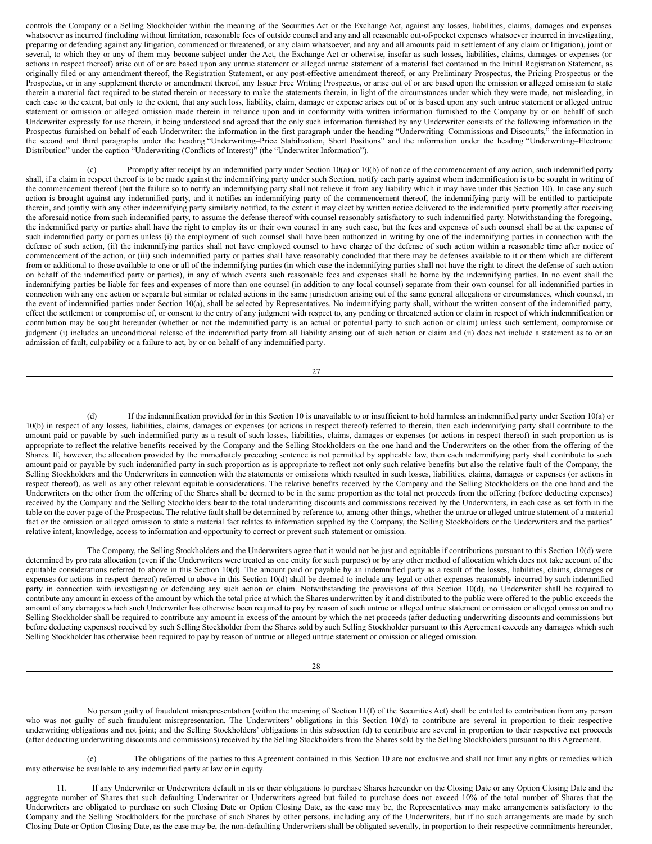controls the Company or a Selling Stockholder within the meaning of the Securities Act or the Exchange Act, against any losses, liabilities, claims, damages and expenses whatsoever as incurred (including without limitation, reasonable fees of outside counsel and any and all reasonable out-of-pocket expenses whatsoever incurred in investigating, preparing or defending against any litigation, commenced or threatened, or any claim whatsoever, and any and all amounts paid in settlement of any claim or litigation), joint or several, to which they or any of them may become subject under the Act, the Exchange Act or otherwise, insofar as such losses, liabilities, claims, damages or expenses (or actions in respect thereof) arise out of or are based upon any untrue statement or alleged untrue statement of a material fact contained in the Initial Registration Statement, as originally filed or any amendment thereof, the Registration Statement, or any post-effective amendment thereof, or any Preliminary Prospectus, the Pricing Prospectus or the Prospectus, or in any supplement thereto or amendment thereof, any Issuer Free Writing Prospectus, or arise out of or are based upon the omission or alleged omission to state therein a material fact required to be stated therein or necessary to make the statements therein, in light of the circumstances under which they were made, not misleading, in each case to the extent, but only to the extent, that any such loss, liability, claim, damage or expense arises out of or is based upon any such untrue statement or alleged untrue statement or omission or alleged omission made therein in reliance upon and in conformity with written information furnished to the Company by or on behalf of such Underwriter expressly for use therein, it being understood and agreed that the only such information furnished by any Underwriter consists of the following information in the Prospectus furnished on behalf of each Underwriter: the information in the first paragraph under the heading "Underwriting–Commissions and Discounts," the information in the second and third paragraphs under the heading "Underwriting–Price Stabilization, Short Positions" and the information under the heading "Underwriting–Electronic Distribution" under the caption "Underwriting (Conflicts of Interest)" (the "Underwriter Information").

(c) Promptly after receipt by an indemnified party under Section 10(a) or 10(b) of notice of the commencement of any action, such indemnified party shall, if a claim in respect thereof is to be made against the indemnifying party under such Section, notify each party against whom indemnification is to be sought in writing of the commencement thereof (but the failure so to notify an indemnifying party shall not relieve it from any liability which it may have under this Section 10). In case any such action is brought against any indemnified party, and it notifies an indemnifying party of the commencement thereof, the indemnifying party will be entitled to participate therein, and jointly with any other indemnifying party similarly notified, to the extent it may elect by written notice delivered to the indemnified party promptly after receiving the aforesaid notice from such indemnified party, to assume the defense thereof with counsel reasonably satisfactory to such indemnified party. Notwithstanding the foregoing, the indemnified party or parties shall have the right to employ its or their own counsel in any such case, but the fees and expenses of such counsel shall be at the expense of such indemnified party or parties unless (i) the employment of such counsel shall have been authorized in writing by one of the indemnifying parties in connection with the defense of such action, (ii) the indemnifying parties shall not have employed counsel to have charge of the defense of such action within a reasonable time after notice of commencement of the action, or (iii) such indemnified party or parties shall have reasonably concluded that there may be defenses available to it or them which are different from or additional to those available to one or all of the indemnifying parties (in which case the indemnifying parties shall not have the right to direct the defense of such action on behalf of the indemnified party or parties), in any of which events such reasonable fees and expenses shall be borne by the indemnifying parties. In no event shall the indemnifying parties be liable for fees and expenses of more than one counsel (in addition to any local counsel) separate from their own counsel for all indemnified parties in connection with any one action or separate but similar or related actions in the same jurisdiction arising out of the same general allegations or circumstances, which counsel, in the event of indemnified parties under Section 10(a), shall be selected by Representatives. No indemnifying party shall, without the written consent of the indemnified party, effect the settlement or compromise of, or consent to the entry of any judgment with respect to, any pending or threatened action or claim in respect of which indemnification or contribution may be sought hereunder (whether or not the indemnified party is an actual or potential party to such action or claim) unless such settlement, compromise or judgment (i) includes an unconditional release of the indemnified party from all liability arising out of such action or claim and (ii) does not include a statement as to or an admission of fault, culpability or a failure to act, by or on behalf of any indemnified party.

27

(d) If the indemnification provided for in this Section 10 is unavailable to or insufficient to hold harmless an indemnified party under Section 10(a) or 10(b) in respect of any losses, liabilities, claims, damages or expenses (or actions in respect thereof) referred to therein, then each indemnifying party shall contribute to the amount paid or payable by such indemnified party as a result of such losses, liabilities, claims, damages or expenses (or actions in respect thereof) in such proportion as is appropriate to reflect the relative benefits received by the Company and the Selling Stockholders on the one hand and the Underwriters on the other from the offering of the Shares. If, however, the allocation provided by the immediately preceding sentence is not permitted by applicable law, then each indemnifying party shall contribute to such amount paid or payable by such indemnified party in such proportion as is appropriate to reflect not only such relative benefits but also the relative fault of the Company, the Selling Stockholders and the Underwriters in connection with the statements or omissions which resulted in such losses, liabilities, claims, damages or expenses (or actions in respect thereof), as well as any other relevant equitable considerations. The relative benefits received by the Company and the Selling Stockholders on the one hand and the Underwriters on the other from the offering of the Shares shall be deemed to be in the same proportion as the total net proceeds from the offering (before deducting expenses) received by the Company and the Selling Stockholders bear to the total underwriting discounts and commissions received by the Underwriters, in each case as set forth in the table on the cover page of the Prospectus. The relative fault shall be determined by reference to, among other things, whether the untrue or alleged untrue statement of a material fact or the omission or alleged omission to state a material fact relates to information supplied by the Company, the Selling Stockholders or the Underwriters and the parties' relative intent, knowledge, access to information and opportunity to correct or prevent such statement or omission.

The Company, the Selling Stockholders and the Underwriters agree that it would not be just and equitable if contributions pursuant to this Section 10(d) were determined by pro rata allocation (even if the Underwriters were treated as one entity for such purpose) or by any other method of allocation which does not take account of the equitable considerations referred to above in this Section 10(d). The amount paid or payable by an indemnified party as a result of the losses, liabilities, claims, damages or expenses (or actions in respect thereof) referred to above in this Section 10(d) shall be deemed to include any legal or other expenses reasonably incurred by such indemnified party in connection with investigating or defending any such action or claim. Notwithstanding the provisions of this Section 10(d), no Underwriter shall be required to contribute any amount in excess of the amount by which the total price at which the Shares underwritten by it and distributed to the public were offered to the public exceeds the amount of any damages which such Underwriter has otherwise been required to pay by reason of such untrue or alleged untrue statement or omission or alleged omission and no Selling Stockholder shall be required to contribute any amount in excess of the amount by which the net proceeds (after deducting underwriting discounts and commissions but before deducting expenses) received by such Selling Stockholder from the Shares sold by such Selling Stockholder pursuant to this Agreement exceeds any damages which such Selling Stockholder has otherwise been required to pay by reason of untrue or alleged untrue statement or omission or alleged omission.

28

No person guilty of fraudulent misrepresentation (within the meaning of Section 11(f) of the Securities Act) shall be entitled to contribution from any person who was not guilty of such fraudulent misrepresentation. The Underwriters' obligations in this Section 10(d) to contribute are several in proportion to their respective underwriting obligations and not joint; and the Selling Stockholders' obligations in this subsection (d) to contribute are several in proportion to their respective net proceeds (after deducting underwriting discounts and commissions) received by the Selling Stockholders from the Shares sold by the Selling Stockholders pursuant to this Agreement.

(e) The obligations of the parties to this Agreement contained in this Section 10 are not exclusive and shall not limit any rights or remedies which may otherwise be available to any indemnified party at law or in equity.

11. If any Underwriter or Underwriters default in its or their obligations to purchase Shares hereunder on the Closing Date or any Option Closing Date and the aggregate number of Shares that such defaulting Underwriter or Underwriters agreed but failed to purchase does not exceed 10% of the total number of Shares that the Underwriters are obligated to purchase on such Closing Date or Option Closing Date, as the case may be, the Representatives may make arrangements satisfactory to the Company and the Selling Stockholders for the purchase of such Shares by other persons, including any of the Underwriters, but if no such arrangements are made by such Closing Date or Option Closing Date, as the case may be, the non-defaulting Underwriters shall be obligated severally, in proportion to their respective commitments hereunder,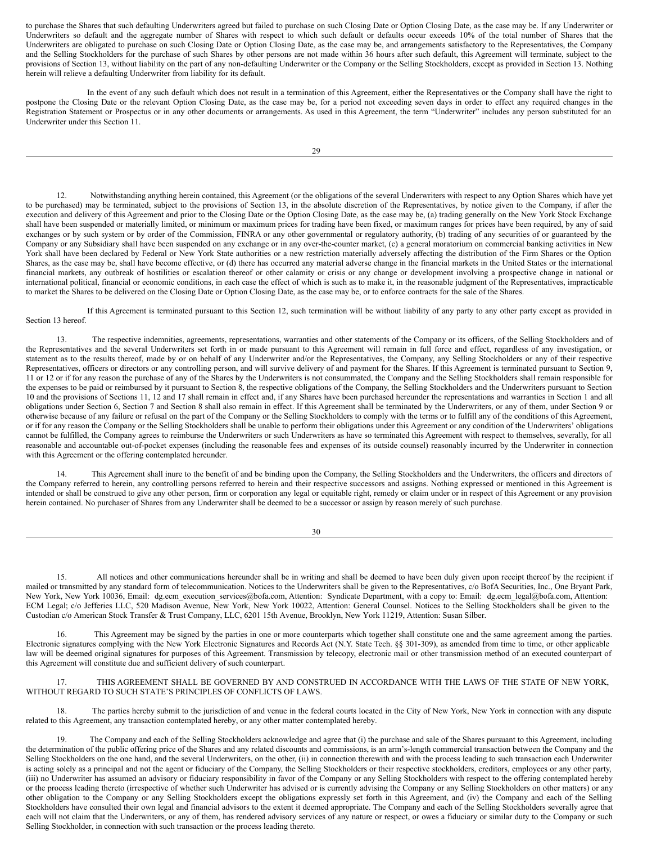to purchase the Shares that such defaulting Underwriters agreed but failed to purchase on such Closing Date or Option Closing Date, as the case may be. If any Underwriter or Underwriters so default and the aggregate number of Shares with respect to which such default or defaults occur exceeds 10% of the total number of Shares that the Underwriters are obligated to purchase on such Closing Date or Option Closing Date, as the case may be, and arrangements satisfactory to the Representatives, the Company and the Selling Stockholders for the purchase of such Shares by other persons are not made within 36 hours after such default, this Agreement will terminate, subject to the provisions of Section 13, without liability on the part of any non-defaulting Underwriter or the Company or the Selling Stockholders, except as provided in Section 13. Nothing herein will relieve a defaulting Underwriter from liability for its default.

In the event of any such default which does not result in a termination of this Agreement, either the Representatives or the Company shall have the right to postpone the Closing Date or the relevant Option Closing Date, as the case may be, for a period not exceeding seven days in order to effect any required changes in the Registration Statement or Prospectus or in any other documents or arrangements. As used in this Agreement, the term "Underwriter" includes any person substituted for an Underwriter under this Section 11.

12. Notwithstanding anything herein contained, this Agreement (or the obligations of the several Underwriters with respect to any Option Shares which have yet to be purchased) may be terminated, subject to the provisions of Section 13, in the absolute discretion of the Representatives, by notice given to the Company, if after the execution and delivery of this Agreement and prior to the Closing Date or the Option Closing Date, as the case may be, (a) trading generally on the New York Stock Exchange shall have been suspended or materially limited, or minimum or maximum prices for trading have been fixed, or maximum ranges for prices have been required, by any of said exchanges or by such system or by order of the Commission, FINRA or any other governmental or regulatory authority, (b) trading of any securities of or guaranteed by the Company or any Subsidiary shall have been suspended on any exchange or in any over-the-counter market, (c) a general moratorium on commercial banking activities in New York shall have been declared by Federal or New York State authorities or a new restriction materially adversely affecting the distribution of the Firm Shares or the Option Shares, as the case may be, shall have become effective, or (d) there has occurred any material adverse change in the financial markets in the United States or the international financial markets, any outbreak of hostilities or escalation thereof or other calamity or crisis or any change or development involving a prospective change in national or international political, financial or economic conditions, in each case the effect of which is such as to make it, in the reasonable judgment of the Representatives, impracticable to market the Shares to be delivered on the Closing Date or Option Closing Date, as the case may be, or to enforce contracts for the sale of the Shares.

If this Agreement is terminated pursuant to this Section 12, such termination will be without liability of any party to any other party except as provided in Section 13 hereof.

13. The respective indemnities, agreements, representations, warranties and other statements of the Company or its officers, of the Selling Stockholders and of the Representatives and the several Underwriters set forth in or made pursuant to this Agreement will remain in full force and effect, regardless of any investigation, or statement as to the results thereof, made by or on behalf of any Underwriter and/or the Representatives, the Company, any Selling Stockholders or any of their respective Representatives, officers or directors or any controlling person, and will survive delivery of and payment for the Shares. If this Agreement is terminated pursuant to Section 9, 11 or 12 or if for any reason the purchase of any of the Shares by the Underwriters is not consummated, the Company and the Selling Stockholders shall remain responsible for the expenses to be paid or reimbursed by it pursuant to Section 8, the respective obligations of the Company, the Selling Stockholders and the Underwriters pursuant to Section 10 and the provisions of Sections 11, 12 and 17 shall remain in effect and, if any Shares have been purchased hereunder the representations and warranties in Section 1 and all obligations under Section 6, Section 7 and Section 8 shall also remain in effect. If this Agreement shall be terminated by the Underwriters, or any of them, under Section 9 or otherwise because of any failure or refusal on the part of the Company or the Selling Stockholders to comply with the terms or to fulfill any of the conditions of this Agreement, or if for any reason the Company or the Selling Stockholders shall be unable to perform their obligations under this Agreement or any condition of the Underwriters' obligations cannot be fulfilled, the Company agrees to reimburse the Underwriters or such Underwriters as have so terminated this Agreement with respect to themselves, severally, for all reasonable and accountable out-of-pocket expenses (including the reasonable fees and expenses of its outside counsel) reasonably incurred by the Underwriter in connection with this Agreement or the offering contemplated hereunder.

14. This Agreement shall inure to the benefit of and be binding upon the Company, the Selling Stockholders and the Underwriters, the officers and directors of the Company referred to herein, any controlling persons referred to herein and their respective successors and assigns. Nothing expressed or mentioned in this Agreement is intended or shall be construed to give any other person, firm or corporation any legal or equitable right, remedy or claim under or in respect of this Agreement or any provision herein contained. No purchaser of Shares from any Underwriter shall be deemed to be a successor or assign by reason merely of such purchase.

30

15. All notices and other communications hereunder shall be in writing and shall be deemed to have been duly given upon receipt thereof by the recipient if mailed or transmitted by any standard form of telecommunication. Notices to the Underwriters shall be given to the Representatives, c/o BofA Securities, Inc., One Bryant Park, New York, New York 10036, Email: dg.ecm\_execution\_services@bofa.com, Attention: Syndicate Department, with a copy to: Email: dg.ecm\_legal@bofa.com, Attention: ECM Legal; c/o Jefferies LLC, 520 Madison Avenue, New York, New York 10022, Attention: General Counsel. Notices to the Selling Stockholders shall be given to the Custodian c/o American Stock Transfer & Trust Company, LLC, 6201 15th Avenue, Brooklyn, New York 11219, Attention: Susan Silber.

16. This Agreement may be signed by the parties in one or more counterparts which together shall constitute one and the same agreement among the parties. Electronic signatures complying with the New York Electronic Signatures and Records Act (N.Y. State Tech. §§ 301-309), as amended from time to time, or other applicable law will be deemed original signatures for purposes of this Agreement. Transmission by telecopy, electronic mail or other transmission method of an executed counterpart of this Agreement will constitute due and sufficient delivery of such counterpart.

17. THIS AGREEMENT SHALL BE GOVERNED BY AND CONSTRUED IN ACCORDANCE WITH THE LAWS OF THE STATE OF NEW YORK, WITHOUT REGARD TO SUCH STATE'S PRINCIPLES OF CONFLICTS OF LAWS.

18. The parties hereby submit to the jurisdiction of and venue in the federal courts located in the City of New York, New York in connection with any dispute related to this Agreement, any transaction contemplated hereby, or any other matter contemplated hereby.

The Company and each of the Selling Stockholders acknowledge and agree that (i) the purchase and sale of the Shares pursuant to this Agreement, including the determination of the public offering price of the Shares and any related discounts and commissions, is an arm's-length commercial transaction between the Company and the Selling Stockholders on the one hand, and the several Underwriters, on the other, (ii) in connection therewith and with the process leading to such transaction each Underwriter is acting solely as a principal and not the agent or fiduciary of the Company, the Selling Stockholders or their respective stockholders, creditors, employees or any other party, (iii) no Underwriter has assumed an advisory or fiduciary responsibility in favor of the Company or any Selling Stockholders with respect to the offering contemplated hereby or the process leading thereto (irrespective of whether such Underwriter has advised or is currently advising the Company or any Selling Stockholders on other matters) or any other obligation to the Company or any Selling Stockholders except the obligations expressly set forth in this Agreement, and (iv) the Company and each of the Selling Stockholders have consulted their own legal and financial advisors to the extent it deemed appropriate. The Company and each of the Selling Stockholders severally agree that each will not claim that the Underwriters, or any of them, has rendered advisory services of any nature or respect, or owes a fiduciary or similar duty to the Company or such Selling Stockholder, in connection with such transaction or the process leading thereto.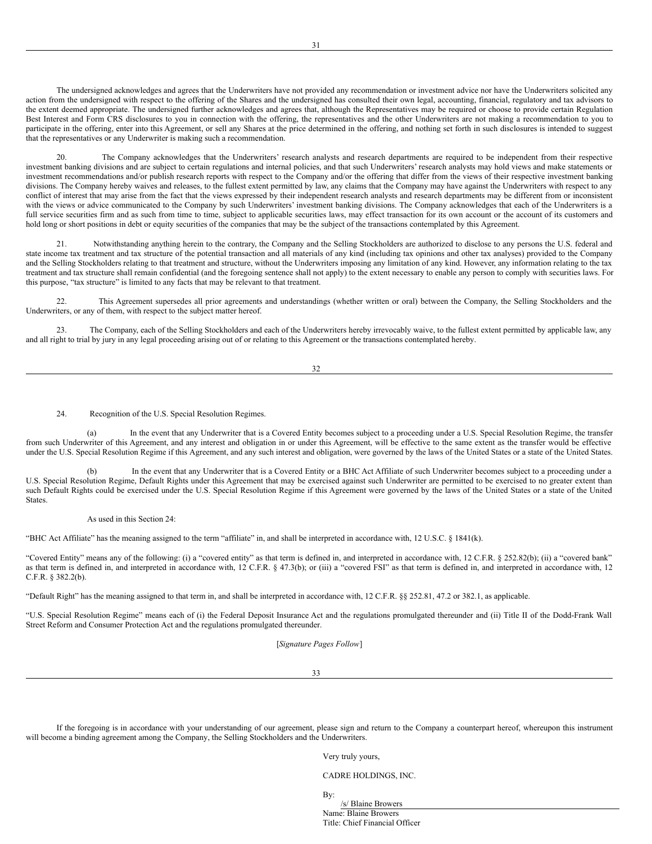The undersigned acknowledges and agrees that the Underwriters have not provided any recommendation or investment advice nor have the Underwriters solicited any action from the undersigned with respect to the offering of the Shares and the undersigned has consulted their own legal, accounting, financial, regulatory and tax advisors to the extent deemed appropriate. The undersigned further acknowledges and agrees that, although the Representatives may be required or choose to provide certain Regulation Best Interest and Form CRS disclosures to you in connection with the offering, the representatives and the other Underwriters are not making a recommendation to you to participate in the offering, enter into this Agreement, or sell any Shares at the price determined in the offering, and nothing set forth in such disclosures is intended to suggest that the representatives or any Underwriter is making such a recommendation.

The Company acknowledges that the Underwriters' research analysts and research departments are required to be independent from their respective investment banking divisions and are subject to certain regulations and internal policies, and that such Underwriters' research analysts may hold views and make statements or investment recommendations and/or publish research reports with respect to the Company and/or the offering that differ from the views of their respective investment banking divisions. The Company hereby waives and releases, to the fullest extent permitted by law, any claims that the Company may have against the Underwriters with respect to any conflict of interest that may arise from the fact that the views expressed by their independent research analysts and research departments may be different from or inconsistent with the views or advice communicated to the Company by such Underwriters' investment banking divisions. The Company acknowledges that each of the Underwriters is a full service securities firm and as such from time to time, subject to applicable securities laws, may effect transaction for its own account or the account of its customers and hold long or short positions in debt or equity securities of the companies that may be the subject of the transactions contemplated by this Agreement.

21. Notwithstanding anything herein to the contrary, the Company and the Selling Stockholders are authorized to disclose to any persons the U.S. federal and state income tax treatment and tax structure of the potential transaction and all materials of any kind (including tax opinions and other tax analyses) provided to the Company and the Selling Stockholders relating to that treatment and structure, without the Underwriters imposing any limitation of any kind. However, any information relating to the tax treatment and tax structure shall remain confidential (and the foregoing sentence shall not apply) to the extent necessary to enable any person to comply with securities laws. For this purpose, "tax structure" is limited to any facts that may be relevant to that treatment.

22. This Agreement supersedes all prior agreements and understandings (whether written or oral) between the Company, the Selling Stockholders and the Underwriters, or any of them, with respect to the subject matter hereof.

23. The Company, each of the Selling Stockholders and each of the Underwriters hereby irrevocably waive, to the fullest extent permitted by applicable law, any and all right to trial by jury in any legal proceeding arising out of or relating to this Agreement or the transactions contemplated hereby.

32

24. Recognition of the U.S. Special Resolution Regimes.

(a) In the event that any Underwriter that is a Covered Entity becomes subject to a proceeding under a U.S. Special Resolution Regime, the transfer from such Underwriter of this Agreement, and any interest and obligation in or under this Agreement, will be effective to the same extent as the transfer would be effective under the U.S. Special Resolution Regime if this Agreement, and any such interest and obligation, were governed by the laws of the United States or a state of the United States.

In the event that any Underwriter that is a Covered Entity or a BHC Act Affiliate of such Underwriter becomes subject to a proceeding under a U.S. Special Resolution Regime, Default Rights under this Agreement that may be exercised against such Underwriter are permitted to be exercised to no greater extent than such Default Rights could be exercised under the U.S. Special Resolution Regime if this Agreement were governed by the laws of the United States or a state of the United States.

#### As used in this Section 24:

"BHC Act Affiliate" has the meaning assigned to the term "affiliate" in, and shall be interpreted in accordance with, 12 U.S.C. § 1841(k).

"Covered Entity" means any of the following: (i) a "covered entity" as that term is defined in, and interpreted in accordance with, 12 C.F.R. § 252.82(b); (ii) a "covered bank" as that term is defined in, and interpreted in accordance with, 12 C.F.R. § 47.3(b); or (iii) a "covered FSI" as that term is defined in, and interpreted in accordance with, 12 C.F.R. § 382.2(b).

"Default Right" has the meaning assigned to that term in, and shall be interpreted in accordance with, 12 C.F.R. §§ 252.81, 47.2 or 382.1, as applicable.

"U.S. Special Resolution Regime" means each of (i) the Federal Deposit Insurance Act and the regulations promulgated thereunder and (ii) Title II of the Dodd-Frank Wall Street Reform and Consumer Protection Act and the regulations promulgated thereunder.

[*Signature Pages Follow*]

33

If the foregoing is in accordance with your understanding of our agreement, please sign and return to the Company a counterpart hereof, whereupon this instrument will become a binding agreement among the Company, the Selling Stockholders and the Underwriters.

Very truly yours,

CADRE HOLDINGS, INC.

By:

/s/ Blaine Browers Name: Blaine Browers Title: Chief Financial Officer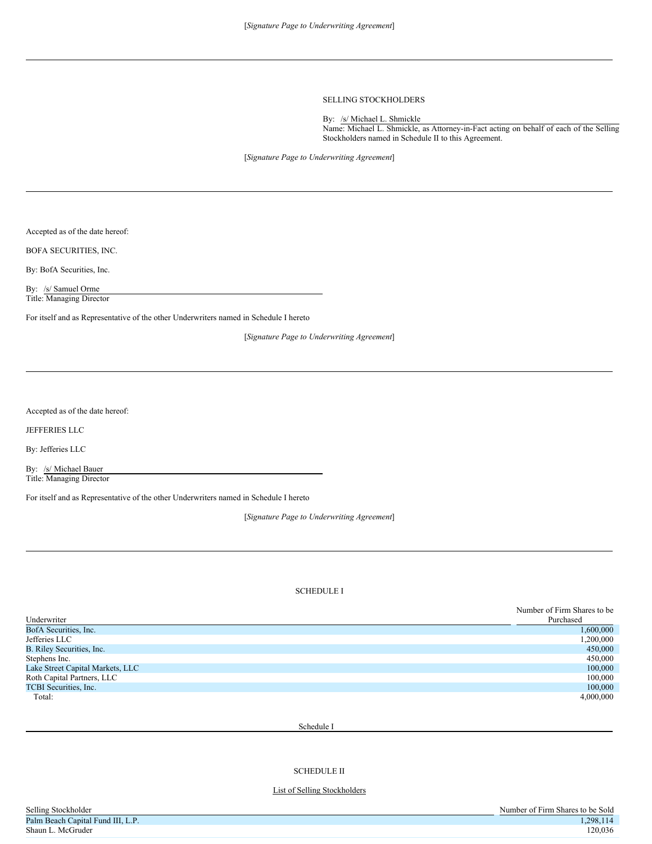# SELLING STOCKHOLDERS

By: /s/ Michael L. Shmickle Name: Michael L. Shmickle, as Attorney-in-Fact acting on behalf of each of the Selling Stockholders named in Schedule II to this Agreement.

[*Signature Page to Underwriting Agreement*]

Accepted as of the date hereof:

BOFA SECURITIES, INC.

By: BofA Securities, Inc.

By: /s/ Samuel Orme Title: Managing Director

For itself and as Representative of the other Underwriters named in Schedule I hereto

[*Signature Page to Underwriting Agreement*]

Accepted as of the date hereof:

JEFFERIES LLC

By: Jefferies LLC

By: /s/ Michael Bauer Title: Managing Director

For itself and as Representative of the other Underwriters named in Schedule I hereto

[*Signature Page to Underwriting Agreement*]

# SCHEDULE I

|                                  | Number of Firm Shares to be |
|----------------------------------|-----------------------------|
| Underwriter                      | Purchased                   |
| BofA Securities, Inc.            | 1,600,000                   |
| Jefferies LLC                    | 1,200,000                   |
| B. Riley Securities, Inc.        | 450,000                     |
| Stephens Inc.                    | 450,000                     |
| Lake Street Capital Markets, LLC | 100,000                     |
| Roth Capital Partners, LLC       | 100,000                     |
| TCBI Securities, Inc.            | 100,000                     |
| Total:                           | 4,000,000                   |

Schedule I

SCHEDULE II

## List of Selling Stockholders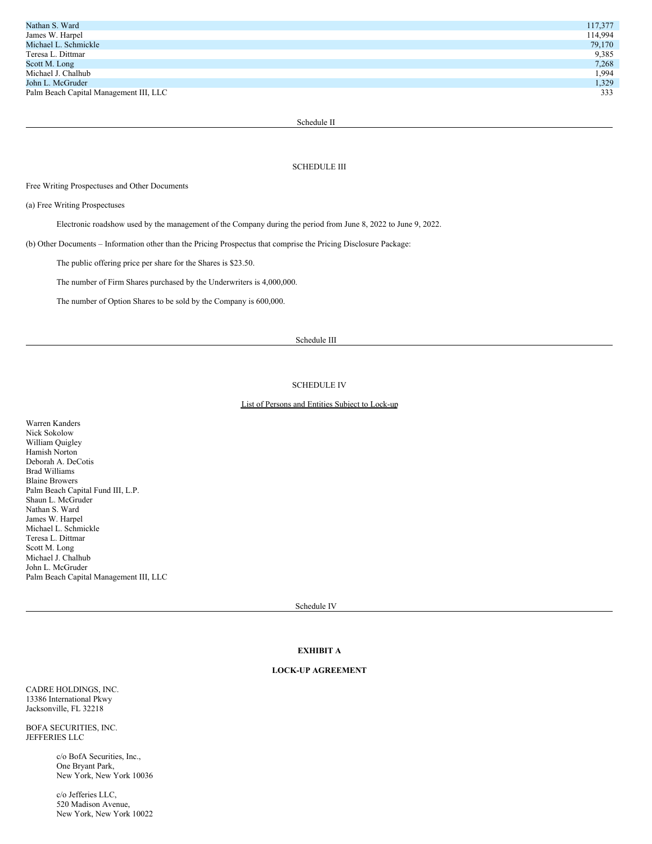| Nathan S. Ward                         | 117,377 |
|----------------------------------------|---------|
| James W. Harpel                        | 114,994 |
| Michael L. Schmickle                   | 79,170  |
| Teresa L. Dittmar                      | 9,385   |
| Scott M. Long                          | 7,268   |
| Michael J. Chalhub                     | 1,994   |
| John L. McGruder                       | 1,329   |
| Palm Beach Capital Management III, LLC | 333     |
|                                        |         |

Schedule II

# SCHEDULE III

# Free Writing Prospectuses and Other Documents

(a) Free Writing Prospectuses

Electronic roadshow used by the management of the Company during the period from June 8, 2022 to June 9, 2022.

(b) Other Documents – Information other than the Pricing Prospectus that comprise the Pricing Disclosure Package:

The public offering price per share for the Shares is \$23.50.

The number of Firm Shares purchased by the Underwriters is 4,000,000.

The number of Option Shares to be sold by the Company is 600,000.

# Schedule III

## SCHEDULE IV

# List of Persons and Entities Subject to Lock-up

Warren Kanders Nick Sokolow William Quigley Hamish Norton Deborah A. DeCotis Brad Williams Blaine Browers Palm Beach Capital Fund III, L.P. Shaun L. McGruder Nathan S. Ward James W. Harpel Michael L. Schmickle Teresa L. Dittmar Scott M. Long Michael J. Chalhub John L. McGruder Palm Beach Capital Management III, LLC

Schedule IV

# **EXHIBIT A**

# **LOCK-UP AGREEMENT**

CADRE HOLDINGS, INC. 13386 International Pkwy Jacksonville, FL 32218

BOFA SECURITIES, INC. JEFFERIES LLC

> c/o BofA Securities, Inc., One Bryant Park, New York, New York 10036

> c/o Jefferies LLC, 520 Madison Avenue, New York, New York 10022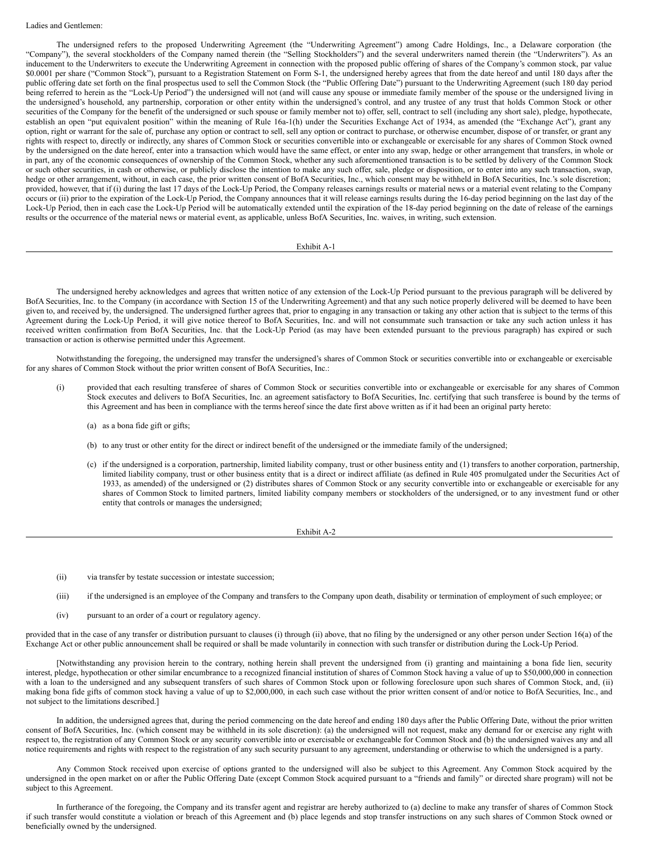## Ladies and Gentlemen:

The undersigned refers to the proposed Underwriting Agreement (the "Underwriting Agreement") among Cadre Holdings, Inc., a Delaware corporation (the "Company"), the several stockholders of the Company named therein (the "Selling Stockholders") and the several underwriters named therein (the "Underwriters"). As an inducement to the Underwriters to execute the Underwriting Agreement in connection with the proposed public offering of shares of the Company's common stock, par value \$0.0001 per share ("Common Stock"), pursuant to a Registration Statement on Form S-1, the undersigned hereby agrees that from the date hereof and until 180 days after the public offering date set forth on the final prospectus used to sell the Common Stock (the "Public Offering Date") pursuant to the Underwriting Agreement (such 180 day period being referred to herein as the "Lock-Up Period") the undersigned will not (and will cause any spouse or immediate family member of the spouse or the undersigned living in the undersigned's household, any partnership, corporation or other entity within the undersigned's control, and any trustee of any trust that holds Common Stock or other securities of the Company for the benefit of the undersigned or such spouse or family member not to) offer, sell, contract to sell (including any short sale), pledge, hypothecate, establish an open "put equivalent position" within the meaning of Rule 16a-1(h) under the Securities Exchange Act of 1934, as amended (the "Exchange Act"), grant any option, right or warrant for the sale of, purchase any option or contract to sell, sell any option or contract to purchase, or otherwise encumber, dispose of or transfer, or grant any rights with respect to, directly or indirectly, any shares of Common Stock or securities convertible into or exchangeable or exercisable for any shares of Common Stock owned by the undersigned on the date hereof, enter into a transaction which would have the same effect, or enter into any swap, hedge or other arrangement that transfers, in whole or in part, any of the economic consequences of ownership of the Common Stock, whether any such aforementioned transaction is to be settled by delivery of the Common Stock or such other securities, in cash or otherwise, or publicly disclose the intention to make any such offer, sale, pledge or disposition, or to enter into any such transaction, swap, hedge or other arrangement, without, in each case, the prior written consent of BofA Securities, Inc., which consent may be withheld in BofA Securities, Inc.'s sole discretion; provided, however, that if (i) during the last 17 days of the Lock-Up Period, the Company releases earnings results or material news or a material event relating to the Company occurs or (ii) prior to the expiration of the Lock-Up Period, the Company announces that it will release earnings results during the 16-day period beginning on the last day of the Lock-Up Period, then in each case the Lock-Up Period will be automatically extended until the expiration of the 18-day period beginning on the date of release of the earnings results or the occurrence of the material news or material event, as applicable, unless BofA Securities, Inc. waives, in writing, such extension.

#### Exhibit A-1

The undersigned hereby acknowledges and agrees that written notice of any extension of the Lock-Up Period pursuant to the previous paragraph will be delivered by BofA Securities, Inc. to the Company (in accordance with Section 15 of the Underwriting Agreement) and that any such notice properly delivered will be deemed to have been given to, and received by, the undersigned. The undersigned further agrees that, prior to engaging in any transaction or taking any other action that is subject to the terms of this Agreement during the Lock-Up Period, it will give notice thereof to BofA Securities, Inc. and will not consummate such transaction or take any such action unless it has received written confirmation from BofA Securities, Inc. that the Lock-Up Period (as may have been extended pursuant to the previous paragraph) has expired or such transaction or action is otherwise permitted under this Agreement.

Notwithstanding the foregoing, the undersigned may transfer the undersigned's shares of Common Stock or securities convertible into or exchangeable or exercisable for any shares of Common Stock without the prior written consent of BofA Securities, Inc.:

- (i) provided that each resulting transferee of shares of Common Stock or securities convertible into or exchangeable or exercisable for any shares of Common Stock executes and delivers to BofA Securities, Inc. an agreement satisfactory to BofA Securities, Inc. certifying that such transferee is bound by the terms of this Agreement and has been in compliance with the terms hereof since the date first above written as if it had been an original party hereto:
	- (a) as a bona fide gift or gifts;
	- (b) to any trust or other entity for the direct or indirect benefit of the undersigned or the immediate family of the undersigned;
	- (c) if the undersigned is a corporation, partnership, limited liability company, trust or other business entity and (1) transfers to another corporation, partnership, limited liability company, trust or other business entity that is a direct or indirect affiliate (as defined in Rule 405 promulgated under the Securities Act of 1933, as amended) of the undersigned or (2) distributes shares of Common Stock or any security convertible into or exchangeable or exercisable for any shares of Common Stock to limited partners, limited liability company members or stockholders of the undersigned, or to any investment fund or other entity that controls or manages the undersigned;

Exhibit A-2

- (ii) via transfer by testate succession or intestate succession;
- (iii) if the undersigned is an employee of the Company and transfers to the Company upon death, disability or termination of employment of such employee; or
- (iv) pursuant to an order of a court or regulatory agency.

provided that in the case of any transfer or distribution pursuant to clauses (i) through (ii) above, that no filing by the undersigned or any other person under Section 16(a) of the Exchange Act or other public announcement shall be required or shall be made voluntarily in connection with such transfer or distribution during the Lock-Up Period.

[Notwithstanding any provision herein to the contrary, nothing herein shall prevent the undersigned from (i) granting and maintaining a bona fide lien, security interest, pledge, hypothecation or other similar encumbrance to a recognized financial institution of shares of Common Stock having a value of up to \$50,000,000 in connection with a loan to the undersigned and any subsequent transfers of such shares of Common Stock upon or following foreclosure upon such shares of Common Stock, and, (ii) making bona fide gifts of common stock having a value of up to \$2,000,000, in each such case without the prior written consent of and/or notice to BofA Securities, Inc., and not subject to the limitations described.]

In addition, the undersigned agrees that, during the period commencing on the date hereof and ending 180 days after the Public Offering Date, without the prior written consent of BofA Securities, Inc. (which consent may be withheld in its sole discretion): (a) the undersigned will not request, make any demand for or exercise any right with respect to, the registration of any Common Stock or any security convertible into or exercisable or exchangeable for Common Stock and (b) the undersigned waives any and all notice requirements and rights with respect to the registration of any such security pursuant to any agreement, understanding or otherwise to which the undersigned is a party.

Any Common Stock received upon exercise of options granted to the undersigned will also be subject to this Agreement. Any Common Stock acquired by the undersigned in the open market on or after the Public Offering Date (except Common Stock acquired pursuant to a "friends and family" or directed share program) will not be subject to this Agreement.

In furtherance of the foregoing, the Company and its transfer agent and registrar are hereby authorized to (a) decline to make any transfer of shares of Common Stock if such transfer would constitute a violation or breach of this Agreement and (b) place legends and stop transfer instructions on any such shares of Common Stock owned or beneficially owned by the undersigned.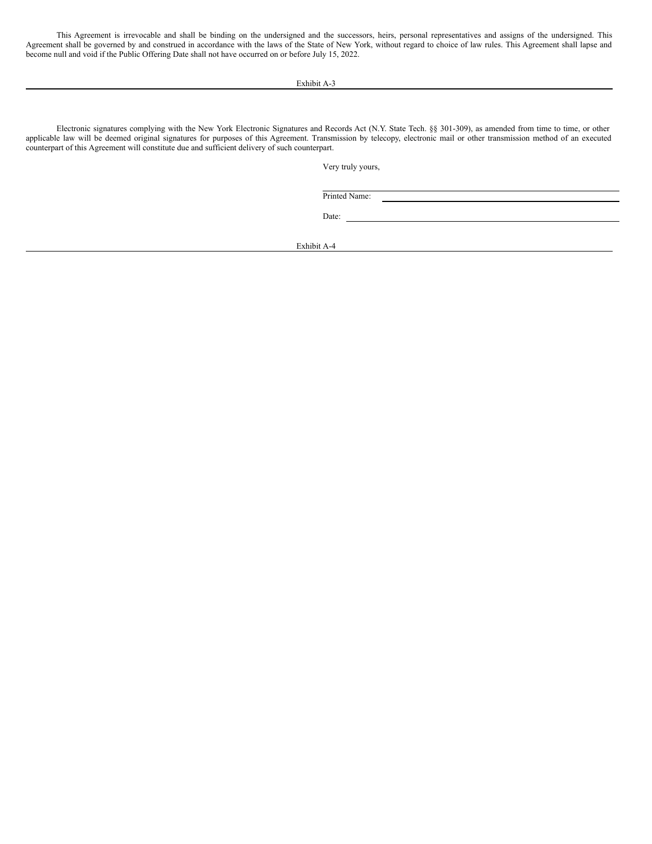This Agreement is irrevocable and shall be binding on the undersigned and the successors, heirs, personal representatives and assigns of the undersigned. This Agreement shall be governed by and construed in accordance with the laws of the State of New York, without regard to choice of law rules. This Agreement shall lapse and become null and void if the Public Offering Date shall not have occurred on or before July 15, 2022.

Exhibit A-3

Electronic signatures complying with the New York Electronic Signatures and Records Act (N.Y. State Tech. §§ 301-309), as amended from time to time, or other applicable law will be deemed original signatures for purposes of this Agreement. Transmission by telecopy, electronic mail or other transmission method of an executed counterpart of this Agreement will constitute due and sufficient delivery of such counterpart.

Very truly yours,

Printed Name:

<u> 1989 - Johann Stoff, deutscher Stoffen und der Stoffen und der Stoffen und der Stoffen und der Stoffen und d</u>

Date:

Exhibit A-4